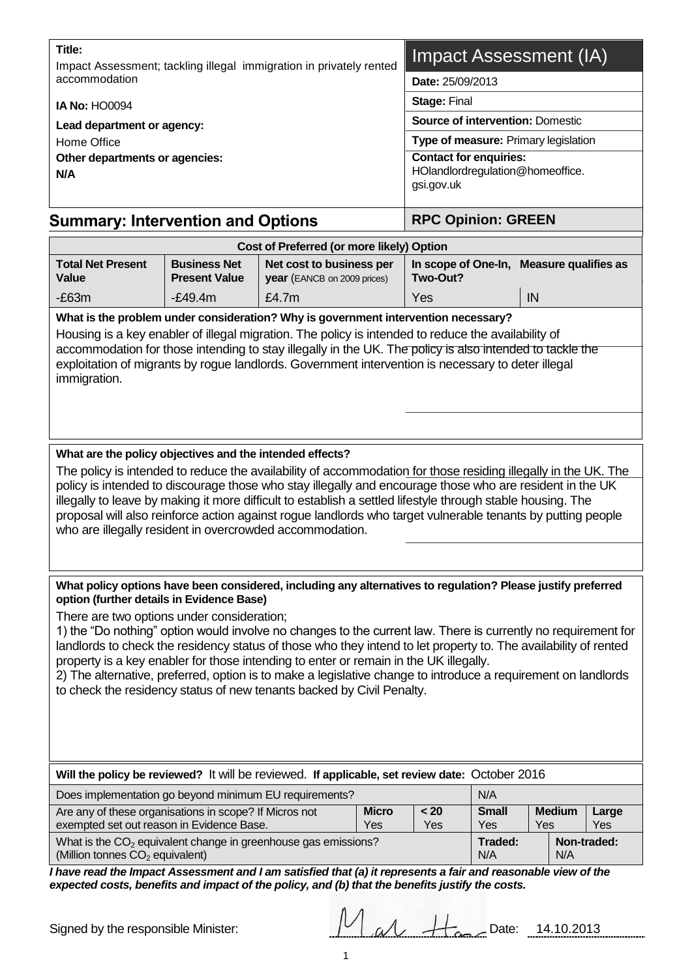| Title:                                                                                                                                                                                                                  |                                                                     |                                                         |                     | Impact Assessment (IA)                                  |                     |     |               |              |  |
|-------------------------------------------------------------------------------------------------------------------------------------------------------------------------------------------------------------------------|---------------------------------------------------------------------|---------------------------------------------------------|---------------------|---------------------------------------------------------|---------------------|-----|---------------|--------------|--|
| accommodation                                                                                                                                                                                                           | Impact Assessment; tackling illegal immigration in privately rented |                                                         |                     |                                                         | Date: 25/09/2013    |     |               |              |  |
|                                                                                                                                                                                                                         |                                                                     |                                                         |                     |                                                         |                     |     |               |              |  |
| <b>IA No: HO0094</b>                                                                                                                                                                                                    |                                                                     |                                                         |                     | Stage: Final<br><b>Source of intervention: Domestic</b> |                     |     |               |              |  |
| Lead department or agency:<br>Home Office                                                                                                                                                                               |                                                                     |                                                         |                     | Type of measure: Primary legislation                    |                     |     |               |              |  |
| Other departments or agencies:                                                                                                                                                                                          |                                                                     |                                                         |                     | <b>Contact for enquiries:</b>                           |                     |     |               |              |  |
| N/A                                                                                                                                                                                                                     |                                                                     |                                                         |                     | HOlandlordregulation@homeoffice.<br>gsi.gov.uk          |                     |     |               |              |  |
| <b>Summary: Intervention and Options</b>                                                                                                                                                                                |                                                                     |                                                         |                     | <b>RPC Opinion: GREEN</b>                               |                     |     |               |              |  |
|                                                                                                                                                                                                                         |                                                                     | Cost of Preferred (or more likely) Option               |                     |                                                         |                     |     |               |              |  |
| <b>Total Net Present</b><br>Value                                                                                                                                                                                       | <b>Business Net</b><br><b>Present Value</b>                         | Net cost to business per<br>year (EANCB on 2009 prices) |                     | In scope of One-In, Measure qualifies as<br>Two-Out?    |                     |     |               |              |  |
| $-E63m$                                                                                                                                                                                                                 | $-f.49.4m$                                                          | £4.7m                                                   |                     | Yes                                                     |                     | IN  |               |              |  |
| What is the problem under consideration? Why is government intervention necessary?                                                                                                                                      |                                                                     |                                                         |                     |                                                         |                     |     |               |              |  |
| Housing is a key enabler of illegal migration. The policy is intended to reduce the availability of                                                                                                                     |                                                                     |                                                         |                     |                                                         |                     |     |               |              |  |
| accommodation for those intending to stay illegally in the UK. The policy is also intended to tackle the<br>exploitation of migrants by rogue landlords. Government intervention is necessary to deter illegal          |                                                                     |                                                         |                     |                                                         |                     |     |               |              |  |
| immigration.                                                                                                                                                                                                            |                                                                     |                                                         |                     |                                                         |                     |     |               |              |  |
|                                                                                                                                                                                                                         |                                                                     |                                                         |                     |                                                         |                     |     |               |              |  |
|                                                                                                                                                                                                                         |                                                                     |                                                         |                     |                                                         |                     |     |               |              |  |
|                                                                                                                                                                                                                         |                                                                     |                                                         |                     |                                                         |                     |     |               |              |  |
| What are the policy objectives and the intended effects?                                                                                                                                                                |                                                                     |                                                         |                     |                                                         |                     |     |               |              |  |
| The policy is intended to reduce the availability of accommodation for those residing illegally in the UK. The                                                                                                          |                                                                     |                                                         |                     |                                                         |                     |     |               |              |  |
| policy is intended to discourage those who stay illegally and encourage those who are resident in the UK<br>illegally to leave by making it more difficult to establish a settled lifestyle through stable housing. The |                                                                     |                                                         |                     |                                                         |                     |     |               |              |  |
| proposal will also reinforce action against rogue landlords who target vulnerable tenants by putting people                                                                                                             |                                                                     |                                                         |                     |                                                         |                     |     |               |              |  |
| who are illegally resident in overcrowded accommodation.                                                                                                                                                                |                                                                     |                                                         |                     |                                                         |                     |     |               |              |  |
|                                                                                                                                                                                                                         |                                                                     |                                                         |                     |                                                         |                     |     |               |              |  |
|                                                                                                                                                                                                                         |                                                                     |                                                         |                     |                                                         |                     |     |               |              |  |
| What policy options have been considered, including any alternatives to regulation? Please justify preferred<br>option (further details in Evidence Base)                                                               |                                                                     |                                                         |                     |                                                         |                     |     |               |              |  |
| There are two options under consideration;                                                                                                                                                                              |                                                                     |                                                         |                     |                                                         |                     |     |               |              |  |
| 1) the "Do nothing" option would involve no changes to the current law. There is currently no requirement for                                                                                                           |                                                                     |                                                         |                     |                                                         |                     |     |               |              |  |
| landlords to check the residency status of those who they intend to let property to. The availability of rented                                                                                                         |                                                                     |                                                         |                     |                                                         |                     |     |               |              |  |
| property is a key enabler for those intending to enter or remain in the UK illegally.<br>2) The alternative, preferred, option is to make a legislative change to introduce a requirement on landlords                  |                                                                     |                                                         |                     |                                                         |                     |     |               |              |  |
| to check the residency status of new tenants backed by Civil Penalty.                                                                                                                                                   |                                                                     |                                                         |                     |                                                         |                     |     |               |              |  |
|                                                                                                                                                                                                                         |                                                                     |                                                         |                     |                                                         |                     |     |               |              |  |
|                                                                                                                                                                                                                         |                                                                     |                                                         |                     |                                                         |                     |     |               |              |  |
|                                                                                                                                                                                                                         |                                                                     |                                                         |                     |                                                         |                     |     |               |              |  |
| Will the policy be reviewed? It will be reviewed. If applicable, set review date: October 2016                                                                                                                          |                                                                     |                                                         |                     |                                                         |                     |     |               |              |  |
| Does implementation go beyond minimum EU requirements?                                                                                                                                                                  |                                                                     |                                                         |                     |                                                         | N/A                 |     |               |              |  |
| Are any of these organisations in scope? If Micros not<br>exempted set out reason in Evidence Base.                                                                                                                     |                                                                     |                                                         | <b>Micro</b><br>Yes | $20$<br>Yes                                             | <b>Small</b><br>Yes | Yes | <b>Medium</b> | Large<br>Yes |  |
| What is the $CO2$ equivalent change in greenhouse gas emissions?                                                                                                                                                        |                                                                     |                                                         |                     |                                                         | Traded:             |     |               | Non-traded:  |  |
| (Million tonnes CO <sub>2</sub> equivalent)                                                                                                                                                                             |                                                                     |                                                         |                     |                                                         | N/A                 |     | N/A           |              |  |
| I have read the Impact Assessment and I am satisfied that (a) it represents a fair and reasonable view of the<br>expected costs, benefits and impact of the policy, and (b) that the benefits justify the costs.        |                                                                     |                                                         |                     |                                                         |                     |     |               |              |  |

Signed by the responsible Minister:  $\begin{array}{c} |C| \ \sim C \ \sim C \ \rightarrow C \ \sim C \end{array}$  Date: 14.10.2013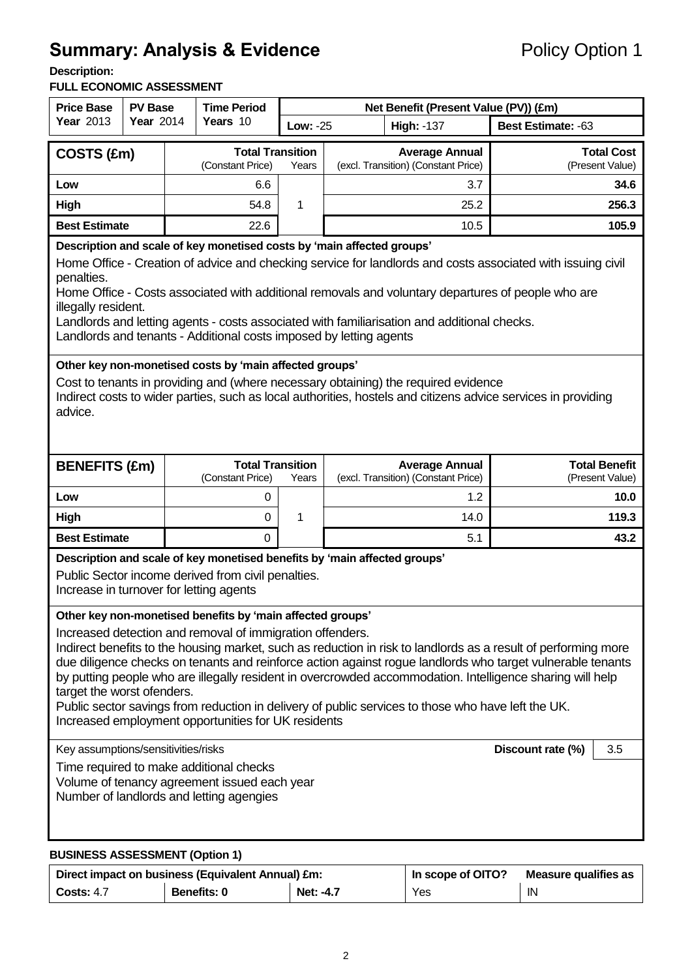# **Summary: Analysis & Evidence** Policy Option 1

**Description:** 

### **FULL ECONOMIC ASSESSMENT**

| <b>Price Base</b>                                                                                                                                                                                                                                                                                                                                                                                                                                                                                                                                                                                                                                               | <b>PV Base</b>                                                                                                                                                                                                                                                 |  | <b>Time Period</b>                          | Net Benefit (Present Value (PV)) (£m) |  |                                                              |                           |                                         |
|-----------------------------------------------------------------------------------------------------------------------------------------------------------------------------------------------------------------------------------------------------------------------------------------------------------------------------------------------------------------------------------------------------------------------------------------------------------------------------------------------------------------------------------------------------------------------------------------------------------------------------------------------------------------|----------------------------------------------------------------------------------------------------------------------------------------------------------------------------------------------------------------------------------------------------------------|--|---------------------------------------------|---------------------------------------|--|--------------------------------------------------------------|---------------------------|-----------------------------------------|
| <b>Year 2013</b>                                                                                                                                                                                                                                                                                                                                                                                                                                                                                                                                                                                                                                                | <b>Year 2014</b>                                                                                                                                                                                                                                               |  | Years 10                                    | <b>Low: -25</b>                       |  | <b>High: -137</b>                                            | <b>Best Estimate: -63</b> |                                         |
| COSTS (£m)                                                                                                                                                                                                                                                                                                                                                                                                                                                                                                                                                                                                                                                      |                                                                                                                                                                                                                                                                |  | <b>Total Transition</b><br>(Constant Price) | Years                                 |  | <b>Average Annual</b><br>(excl. Transition) (Constant Price) |                           | <b>Total Cost</b><br>(Present Value)    |
| Low                                                                                                                                                                                                                                                                                                                                                                                                                                                                                                                                                                                                                                                             |                                                                                                                                                                                                                                                                |  | 6.6                                         |                                       |  | 3.7                                                          |                           | 34.6                                    |
| High                                                                                                                                                                                                                                                                                                                                                                                                                                                                                                                                                                                                                                                            |                                                                                                                                                                                                                                                                |  | 54.8                                        | $\mathbf{1}$                          |  | 25.2                                                         | 256.3                     |                                         |
| <b>Best Estimate</b>                                                                                                                                                                                                                                                                                                                                                                                                                                                                                                                                                                                                                                            |                                                                                                                                                                                                                                                                |  | 22.6                                        |                                       |  | 10.5                                                         |                           | 105.9                                   |
| Description and scale of key monetised costs by 'main affected groups'<br>Home Office - Creation of advice and checking service for landlords and costs associated with issuing civil<br>penalties.<br>Home Office - Costs associated with additional removals and voluntary departures of people who are<br>illegally resident.<br>Landlords and letting agents - costs associated with familiarisation and additional checks.<br>Landlords and tenants - Additional costs imposed by letting agents                                                                                                                                                           |                                                                                                                                                                                                                                                                |  |                                             |                                       |  |                                                              |                           |                                         |
| advice.                                                                                                                                                                                                                                                                                                                                                                                                                                                                                                                                                                                                                                                         | Other key non-monetised costs by 'main affected groups'<br>Cost to tenants in providing and (where necessary obtaining) the required evidence<br>Indirect costs to wider parties, such as local authorities, hostels and citizens advice services in providing |  |                                             |                                       |  |                                                              |                           |                                         |
| <b>BENEFITS (£m)</b>                                                                                                                                                                                                                                                                                                                                                                                                                                                                                                                                                                                                                                            |                                                                                                                                                                                                                                                                |  | <b>Total Transition</b><br>(Constant Price) | Years                                 |  | <b>Average Annual</b><br>(excl. Transition) (Constant Price) |                           | <b>Total Benefit</b><br>(Present Value) |
| Low                                                                                                                                                                                                                                                                                                                                                                                                                                                                                                                                                                                                                                                             |                                                                                                                                                                                                                                                                |  | 0                                           |                                       |  | 1.2                                                          |                           | 10.0                                    |
| High                                                                                                                                                                                                                                                                                                                                                                                                                                                                                                                                                                                                                                                            |                                                                                                                                                                                                                                                                |  | 0                                           | 1                                     |  | 14.0                                                         |                           | 119.3                                   |
| <b>Best Estimate</b>                                                                                                                                                                                                                                                                                                                                                                                                                                                                                                                                                                                                                                            |                                                                                                                                                                                                                                                                |  | 0                                           |                                       |  | 5.1                                                          |                           | 43.2                                    |
|                                                                                                                                                                                                                                                                                                                                                                                                                                                                                                                                                                                                                                                                 | Description and scale of key monetised benefits by 'main affected groups'<br>Public Sector income derived from civil penalties.<br>Increase in turnover for letting agents                                                                                     |  |                                             |                                       |  |                                                              |                           |                                         |
| Other key non-monetised benefits by 'main affected groups'<br>Increased detection and removal of immigration offenders.<br>Indirect benefits to the housing market, such as reduction in risk to landlords as a result of performing more<br>due diligence checks on tenants and reinforce action against rogue landlords who target vulnerable tenants<br>by putting people who are illegally resident in overcrowded accommodation. Intelligence sharing will help<br>target the worst ofenders.<br>Public sector savings from reduction in delivery of public services to those who have left the UK.<br>Increased employment opportunities for UK residents |                                                                                                                                                                                                                                                                |  |                                             |                                       |  |                                                              |                           |                                         |
|                                                                                                                                                                                                                                                                                                                                                                                                                                                                                                                                                                                                                                                                 |                                                                                                                                                                                                                                                                |  |                                             |                                       |  |                                                              | Discount rate (%)         | 3.5                                     |
| Key assumptions/sensitivities/risks<br>Time required to make additional checks<br>Volume of tenancy agreement issued each year<br>Number of landlords and letting agengies                                                                                                                                                                                                                                                                                                                                                                                                                                                                                      |                                                                                                                                                                                                                                                                |  |                                             |                                       |  |                                                              |                           |                                         |

# **BUSINESS ASSESSMENT (Option 1)**

| Direct impact on business (Equivalent Annual) £m: |                    |           | In scope of OITO? | Measure qualifies as |
|---------------------------------------------------|--------------------|-----------|-------------------|----------------------|
| <b>Costs: 4.7</b>                                 | <b>Benefits: 0</b> | Net: -4.7 | Yes               | <b>IN</b>            |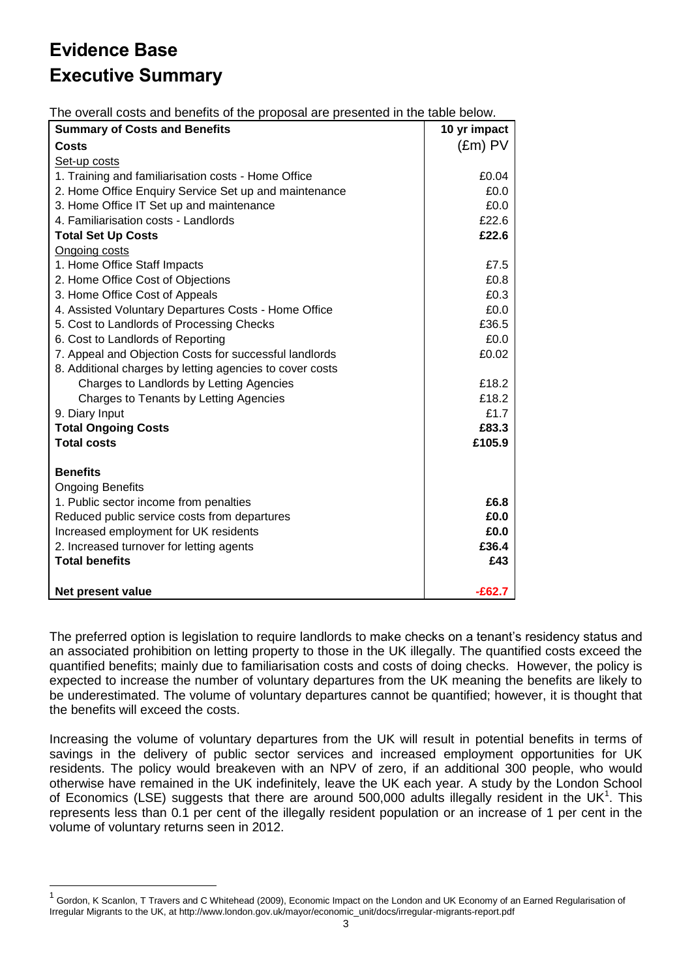## **Evidence Base Executive Summary**

l

The overall costs and benefits of the proposal are presented in the table below.

| rile overali costs and benefits or the proposal are presented in the table below. |                  |
|-----------------------------------------------------------------------------------|------------------|
| <b>Summary of Costs and Benefits</b>                                              | 10 yr impact     |
| <b>Costs</b>                                                                      | $(\text{Em})$ PV |
| Set-up costs                                                                      |                  |
| 1. Training and familiarisation costs - Home Office                               | £0.04            |
| 2. Home Office Enquiry Service Set up and maintenance                             | £0.0             |
| 3. Home Office IT Set up and maintenance                                          | £0.0             |
| 4. Familiarisation costs - Landlords                                              | £22.6            |
| <b>Total Set Up Costs</b>                                                         | £22.6            |
| Ongoing costs                                                                     |                  |
| 1. Home Office Staff Impacts                                                      | £7.5             |
| 2. Home Office Cost of Objections                                                 | £0.8             |
| 3. Home Office Cost of Appeals                                                    | £0.3             |
| 4. Assisted Voluntary Departures Costs - Home Office                              | £0.0             |
| 5. Cost to Landlords of Processing Checks                                         | £36.5            |
| 6. Cost to Landlords of Reporting                                                 | £0.0             |
| 7. Appeal and Objection Costs for successful landlords                            | £0.02            |
| 8. Additional charges by letting agencies to cover costs                          |                  |
| Charges to Landlords by Letting Agencies                                          | £18.2            |
| Charges to Tenants by Letting Agencies                                            | £18.2            |
| 9. Diary Input                                                                    | £1.7             |
| <b>Total Ongoing Costs</b>                                                        | £83.3            |
| <b>Total costs</b>                                                                | £105.9           |
|                                                                                   |                  |
| <b>Benefits</b>                                                                   |                  |
| <b>Ongoing Benefits</b>                                                           |                  |
| 1. Public sector income from penalties                                            | £6.8             |
| Reduced public service costs from departures                                      | £0.0             |
| Increased employment for UK residents                                             | £0.0             |
| 2. Increased turnover for letting agents                                          | £36.4            |
| <b>Total benefits</b>                                                             | £43              |
|                                                                                   |                  |
| Net present value                                                                 | $-£62.7$         |

The preferred option is legislation to require landlords to make checks on a tenant"s residency status and an associated prohibition on letting property to those in the UK illegally. The quantified costs exceed the quantified benefits; mainly due to familiarisation costs and costs of doing checks. However, the policy is expected to increase the number of voluntary departures from the UK meaning the benefits are likely to be underestimated. The volume of voluntary departures cannot be quantified; however, it is thought that the benefits will exceed the costs.

Increasing the volume of voluntary departures from the UK will result in potential benefits in terms of savings in the delivery of public sector services and increased employment opportunities for UK residents. The policy would breakeven with an NPV of zero, if an additional 300 people, who would otherwise have remained in the UK indefinitely, leave the UK each year*.* A study by the London School of Economics (LSE) suggests that there are around 500,000 adults illegally resident in the UK<sup>1</sup>. This represents less than 0.1 per cent of the illegally resident population or an increase of 1 per cent in the volume of voluntary returns seen in 2012.

<sup>1</sup> Gordon, K Scanlon, T Travers and C Whitehead (2009), Economic Impact on the London and UK Economy of an Earned Regularisation of Irregular Migrants to the UK, at http://www.london.gov.uk/mayor/economic\_unit/docs/irregular-migrants-report.pdf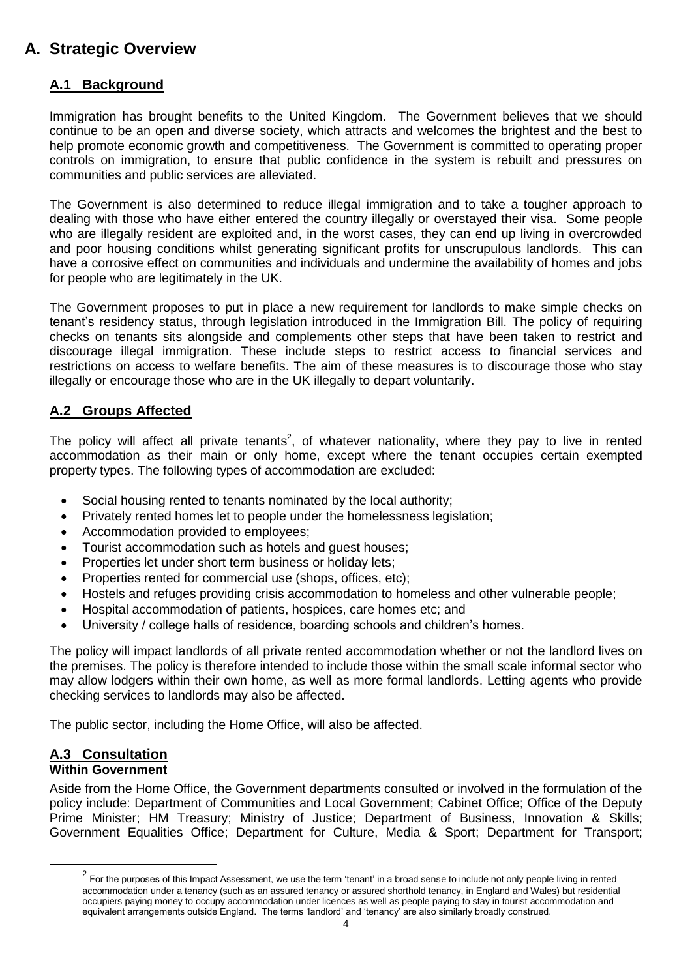### **A. Strategic Overview**

### **A.1 Background**

Immigration has brought benefits to the United Kingdom. The Government believes that we should continue to be an open and diverse society, which attracts and welcomes the brightest and the best to help promote economic growth and competitiveness. The Government is committed to operating proper controls on immigration, to ensure that public confidence in the system is rebuilt and pressures on communities and public services are alleviated.

The Government is also determined to reduce illegal immigration and to take a tougher approach to dealing with those who have either entered the country illegally or overstayed their visa. Some people who are illegally resident are exploited and, in the worst cases, they can end up living in overcrowded and poor housing conditions whilst generating significant profits for unscrupulous landlords. This can have a corrosive effect on communities and individuals and undermine the availability of homes and jobs for people who are legitimately in the UK.

The Government proposes to put in place a new requirement for landlords to make simple checks on tenant"s residency status, through legislation introduced in the Immigration Bill. The policy of requiring checks on tenants sits alongside and complements other steps that have been taken to restrict and discourage illegal immigration. These include steps to restrict access to financial services and restrictions on access to welfare benefits. The aim of these measures is to discourage those who stay illegally or encourage those who are in the UK illegally to depart voluntarily.

### **A.2 Groups Affected**

The policy will affect all private tenants<sup>2</sup>, of whatever nationality, where they pay to live in rented accommodation as their main or only home, except where the tenant occupies certain exempted property types. The following types of accommodation are excluded:

- Social housing rented to tenants nominated by the local authority;
- Privately rented homes let to people under the homelessness legislation;
- Accommodation provided to employees;
- Tourist accommodation such as hotels and guest houses;
- Properties let under short term business or holiday lets;
- Properties rented for commercial use (shops, offices, etc);
- Hostels and refuges providing crisis accommodation to homeless and other vulnerable people;
- Hospital accommodation of patients, hospices, care homes etc; and
- University / college halls of residence, boarding schools and children's homes.

The policy will impact landlords of all private rented accommodation whether or not the landlord lives on the premises. The policy is therefore intended to include those within the small scale informal sector who may allow lodgers within their own home, as well as more formal landlords. Letting agents who provide checking services to landlords may also be affected.

The public sector, including the Home Office, will also be affected.

### **A.3 Consultation**

### **Within Government**

l

Aside from the Home Office, the Government departments consulted or involved in the formulation of the policy include: Department of Communities and Local Government; Cabinet Office; Office of the Deputy Prime Minister; HM Treasury; Ministry of Justice; Department of Business, Innovation & Skills; Government Equalities Office; Department for Culture, Media & Sport; Department for Transport;

 $^2$  For the purposes of this Impact Assessment, we use the term 'tenant' in a broad sense to include not only people living in rented accommodation under a tenancy (such as an assured tenancy or assured shorthold tenancy, in England and Wales) but residential occupiers paying money to occupy accommodation under licences as well as people paying to stay in tourist accommodation and equivalent arrangements outside England. The terms "landlord" and "tenancy" are also similarly broadly construed.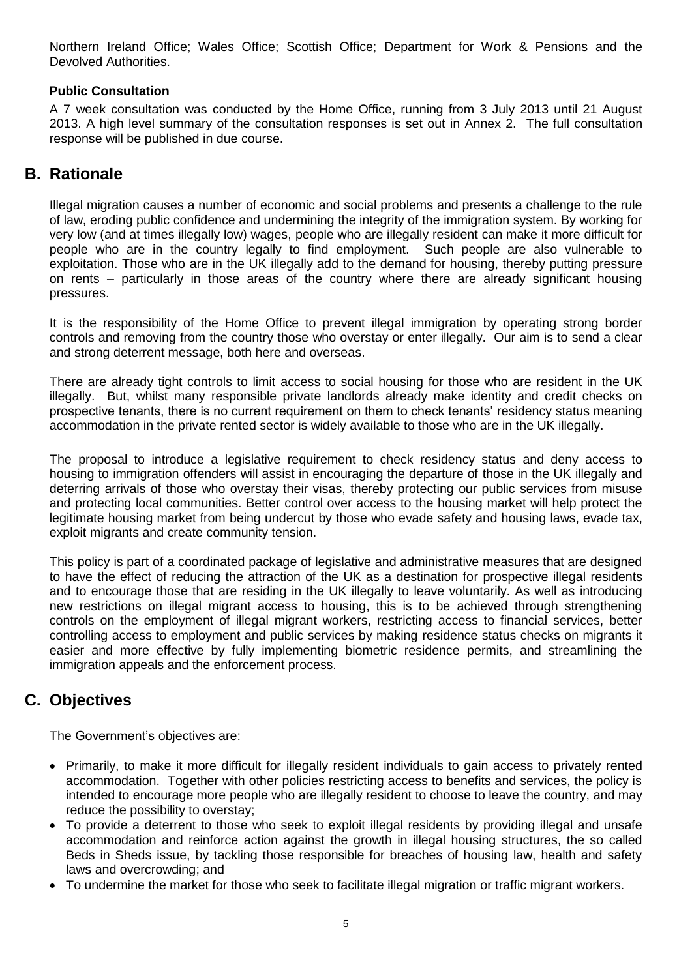Northern Ireland Office; Wales Office; Scottish Office; Department for Work & Pensions and the Devolved Authorities.

### **Public Consultation**

A 7 week consultation was conducted by the Home Office, running from 3 July 2013 until 21 August 2013. A high level summary of the consultation responses is set out in Annex 2. The full consultation response will be published in due course.

### **B. Rationale**

Illegal migration causes a number of economic and social problems and presents a challenge to the rule of law, eroding public confidence and undermining the integrity of the immigration system. By working for very low (and at times illegally low) wages, people who are illegally resident can make it more difficult for people who are in the country legally to find employment. Such people are also vulnerable to exploitation. Those who are in the UK illegally add to the demand for housing, thereby putting pressure on rents – particularly in those areas of the country where there are already significant housing pressures.

It is the responsibility of the Home Office to prevent illegal immigration by operating strong border controls and removing from the country those who overstay or enter illegally. Our aim is to send a clear and strong deterrent message, both here and overseas.

There are already tight controls to limit access to social housing for those who are resident in the UK illegally. But, whilst many responsible private landlords already make identity and credit checks on prospective tenants, there is no current requirement on them to check tenants" residency status meaning accommodation in the private rented sector is widely available to those who are in the UK illegally.

The proposal to introduce a legislative requirement to check residency status and deny access to housing to immigration offenders will assist in encouraging the departure of those in the UK illegally and deterring arrivals of those who overstay their visas, thereby protecting our public services from misuse and protecting local communities. Better control over access to the housing market will help protect the legitimate housing market from being undercut by those who evade safety and housing laws, evade tax, exploit migrants and create community tension.

This policy is part of a coordinated package of legislative and administrative measures that are designed to have the effect of reducing the attraction of the UK as a destination for prospective illegal residents and to encourage those that are residing in the UK illegally to leave voluntarily. As well as introducing new restrictions on illegal migrant access to housing, this is to be achieved through strengthening controls on the employment of illegal migrant workers, restricting access to financial services, better controlling access to employment and public services by making residence status checks on migrants it easier and more effective by fully implementing biometric residence permits, and streamlining the immigration appeals and the enforcement process.

### **C. Objectives**

The Government"s objectives are:

- Primarily, to make it more difficult for illegally resident individuals to gain access to privately rented accommodation. Together with other policies restricting access to benefits and services, the policy is intended to encourage more people who are illegally resident to choose to leave the country, and may reduce the possibility to overstay;
- To provide a deterrent to those who seek to exploit illegal residents by providing illegal and unsafe accommodation and reinforce action against the growth in illegal housing structures, the so called Beds in Sheds issue, by tackling those responsible for breaches of housing law, health and safety laws and overcrowding; and
- To undermine the market for those who seek to facilitate illegal migration or traffic migrant workers.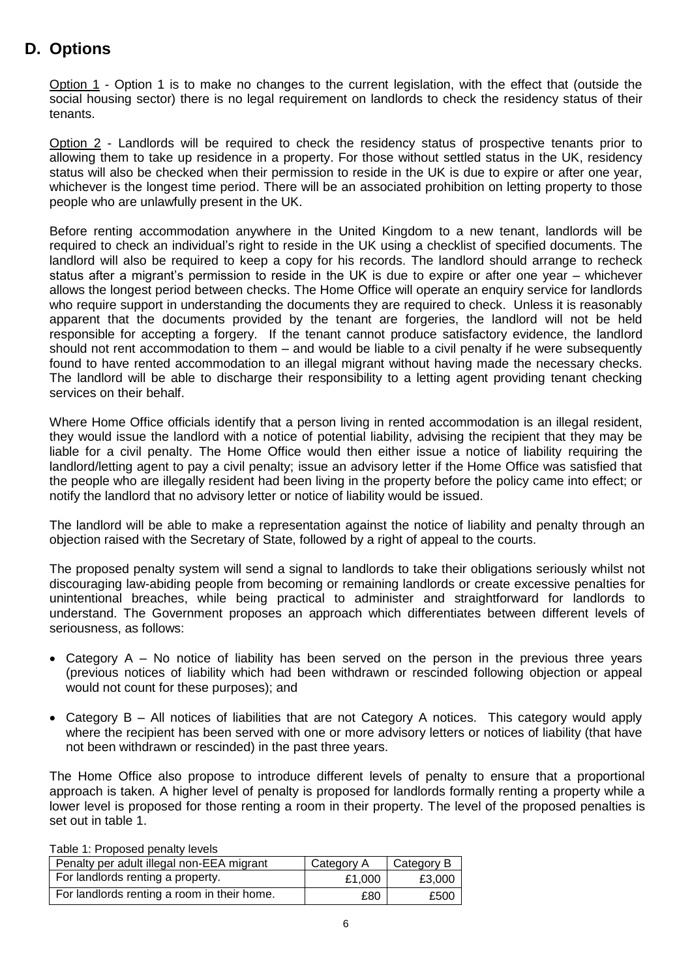### **D. Options**

Option 1 - Option 1 is to make no changes to the current legislation, with the effect that (outside the social housing sector) there is no legal requirement on landlords to check the residency status of their tenants.

Option 2 - Landlords will be required to check the residency status of prospective tenants prior to allowing them to take up residence in a property. For those without settled status in the UK, residency status will also be checked when their permission to reside in the UK is due to expire or after one year, whichever is the longest time period. There will be an associated prohibition on letting property to those people who are unlawfully present in the UK.

Before renting accommodation anywhere in the United Kingdom to a new tenant, landlords will be required to check an individual"s right to reside in the UK using a checklist of specified documents. The landlord will also be required to keep a copy for his records. The landlord should arrange to recheck status after a migrant"s permission to reside in the UK is due to expire or after one year – whichever allows the longest period between checks. The Home Office will operate an enquiry service for landlords who require support in understanding the documents they are required to check. Unless it is reasonably apparent that the documents provided by the tenant are forgeries, the landlord will not be held responsible for accepting a forgery. If the tenant cannot produce satisfactory evidence, the landlord should not rent accommodation to them – and would be liable to a civil penalty if he were subsequently found to have rented accommodation to an illegal migrant without having made the necessary checks. The landlord will be able to discharge their responsibility to a letting agent providing tenant checking services on their behalf.

Where Home Office officials identify that a person living in rented accommodation is an illegal resident, they would issue the landlord with a notice of potential liability, advising the recipient that they may be liable for a civil penalty. The Home Office would then either issue a notice of liability requiring the landlord/letting agent to pay a civil penalty; issue an advisory letter if the Home Office was satisfied that the people who are illegally resident had been living in the property before the policy came into effect; or notify the landlord that no advisory letter or notice of liability would be issued.

The landlord will be able to make a representation against the notice of liability and penalty through an objection raised with the Secretary of State, followed by a right of appeal to the courts.

The proposed penalty system will send a signal to landlords to take their obligations seriously whilst not discouraging law-abiding people from becoming or remaining landlords or create excessive penalties for unintentional breaches, while being practical to administer and straightforward for landlords to understand. The Government proposes an approach which differentiates between different levels of seriousness, as follows:

- Category A No notice of liability has been served on the person in the previous three years (previous notices of liability which had been withdrawn or rescinded following objection or appeal would not count for these purposes); and
- Category B All notices of liabilities that are not Category A notices. This category would apply where the recipient has been served with one or more advisory letters or notices of liability (that have not been withdrawn or rescinded) in the past three years.

The Home Office also propose to introduce different levels of penalty to ensure that a proportional approach is taken. A higher level of penalty is proposed for landlords formally renting a property while a lower level is proposed for those renting a room in their property. The level of the proposed penalties is set out in table 1.

| Table 1. FTODOSEd DETIGILY IEVEIS           |            |            |
|---------------------------------------------|------------|------------|
| Penalty per adult illegal non-EEA migrant   | Category A | Category B |
| For landlords renting a property.           | £1.000     | £3.000     |
| For landlords renting a room in their home. | £80        | £500       |

Table 1: Proposed penalty levels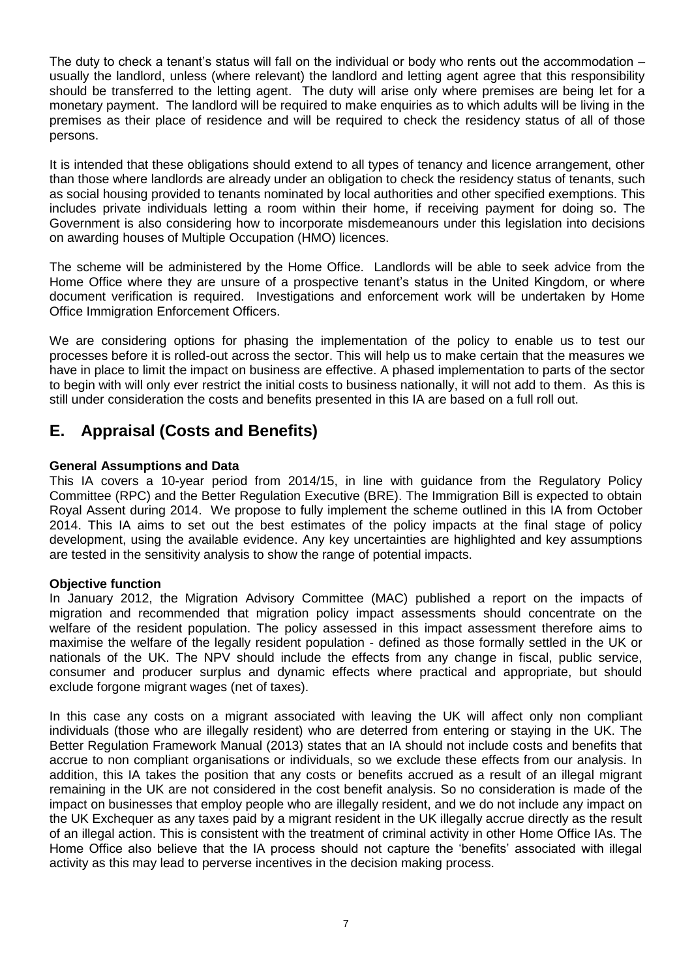The duty to check a tenant's status will fall on the individual or body who rents out the accommodation – usually the landlord, unless (where relevant) the landlord and letting agent agree that this responsibility should be transferred to the letting agent. The duty will arise only where premises are being let for a monetary payment. The landlord will be required to make enquiries as to which adults will be living in the premises as their place of residence and will be required to check the residency status of all of those persons.

It is intended that these obligations should extend to all types of tenancy and licence arrangement, other than those where landlords are already under an obligation to check the residency status of tenants, such as social housing provided to tenants nominated by local authorities and other specified exemptions. This includes private individuals letting a room within their home, if receiving payment for doing so. The Government is also considering how to incorporate misdemeanours under this legislation into decisions on awarding houses of Multiple Occupation (HMO) licences.

The scheme will be administered by the Home Office. Landlords will be able to seek advice from the Home Office where they are unsure of a prospective tenant's status in the United Kingdom, or where document verification is required. Investigations and enforcement work will be undertaken by Home Office Immigration Enforcement Officers.

We are considering options for phasing the implementation of the policy to enable us to test our processes before it is rolled-out across the sector. This will help us to make certain that the measures we have in place to limit the impact on business are effective. A phased implementation to parts of the sector to begin with will only ever restrict the initial costs to business nationally, it will not add to them. As this is still under consideration the costs and benefits presented in this IA are based on a full roll out.

### **E. Appraisal (Costs and Benefits)**

### **General Assumptions and Data**

This IA covers a 10-year period from 2014/15, in line with guidance from the Regulatory Policy Committee (RPC) and the Better Regulation Executive (BRE). The Immigration Bill is expected to obtain Royal Assent during 2014. We propose to fully implement the scheme outlined in this IA from October 2014. This IA aims to set out the best estimates of the policy impacts at the final stage of policy development, using the available evidence. Any key uncertainties are highlighted and key assumptions are tested in the sensitivity analysis to show the range of potential impacts.

### **Objective function**

In January 2012, the Migration Advisory Committee (MAC) published a report on the impacts of migration and recommended that migration policy impact assessments should concentrate on the welfare of the resident population. The policy assessed in this impact assessment therefore aims to maximise the welfare of the legally resident population - defined as those formally settled in the UK or nationals of the UK. The NPV should include the effects from any change in fiscal, public service, consumer and producer surplus and dynamic effects where practical and appropriate, but should exclude forgone migrant wages (net of taxes).

In this case any costs on a migrant associated with leaving the UK will affect only non compliant individuals (those who are illegally resident) who are deterred from entering or staying in the UK. The Better Regulation Framework Manual (2013) states that an IA should not include costs and benefits that accrue to non compliant organisations or individuals, so we exclude these effects from our analysis. In addition, this IA takes the position that any costs or benefits accrued as a result of an illegal migrant remaining in the UK are not considered in the cost benefit analysis. So no consideration is made of the impact on businesses that employ people who are illegally resident, and we do not include any impact on the UK Exchequer as any taxes paid by a migrant resident in the UK illegally accrue directly as the result of an illegal action. This is consistent with the treatment of criminal activity in other Home Office IAs. The Home Office also believe that the IA process should not capture the "benefits" associated with illegal activity as this may lead to perverse incentives in the decision making process.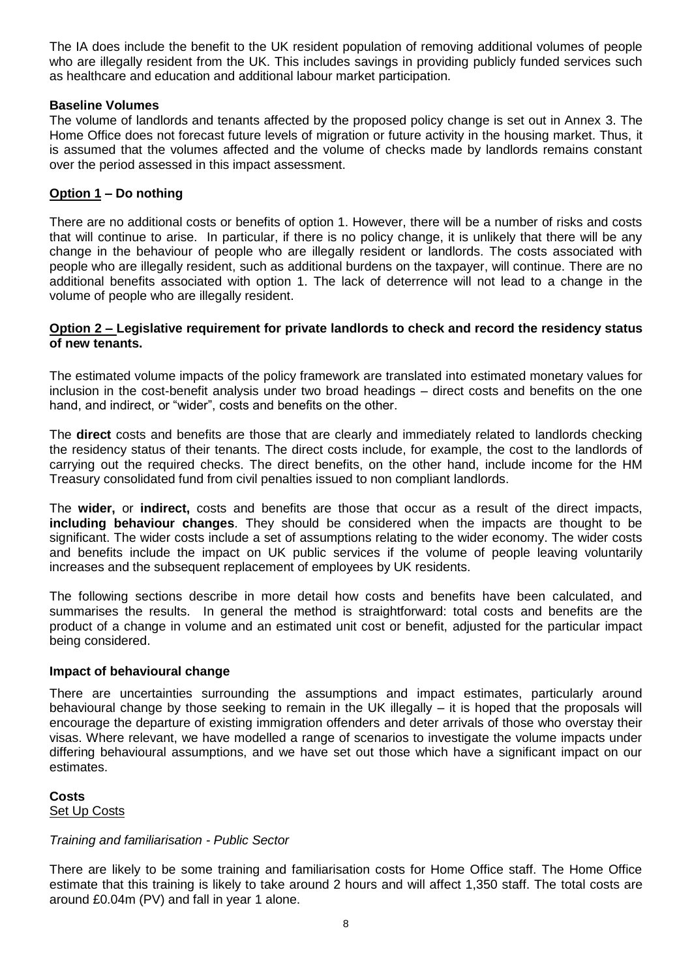The IA does include the benefit to the UK resident population of removing additional volumes of people who are illegally resident from the UK. This includes savings in providing publicly funded services such as healthcare and education and additional labour market participation.

### **Baseline Volumes**

The volume of landlords and tenants affected by the proposed policy change is set out in Annex 3. The Home Office does not forecast future levels of migration or future activity in the housing market. Thus, it is assumed that the volumes affected and the volume of checks made by landlords remains constant over the period assessed in this impact assessment.

### **Option 1 – Do nothing**

There are no additional costs or benefits of option 1. However, there will be a number of risks and costs that will continue to arise. In particular, if there is no policy change, it is unlikely that there will be any change in the behaviour of people who are illegally resident or landlords. The costs associated with people who are illegally resident, such as additional burdens on the taxpayer, will continue. There are no additional benefits associated with option 1. The lack of deterrence will not lead to a change in the volume of people who are illegally resident.

### **Option 2 – Legislative requirement for private landlords to check and record the residency status of new tenants.**

The estimated volume impacts of the policy framework are translated into estimated monetary values for inclusion in the cost-benefit analysis under two broad headings – direct costs and benefits on the one hand, and indirect, or "wider", costs and benefits on the other.

The **direct** costs and benefits are those that are clearly and immediately related to landlords checking the residency status of their tenants. The direct costs include, for example, the cost to the landlords of carrying out the required checks. The direct benefits, on the other hand, include income for the HM Treasury consolidated fund from civil penalties issued to non compliant landlords.

The **wider,** or **indirect,** costs and benefits are those that occur as a result of the direct impacts, **including behaviour changes**. They should be considered when the impacts are thought to be significant. The wider costs include a set of assumptions relating to the wider economy. The wider costs and benefits include the impact on UK public services if the volume of people leaving voluntarily increases and the subsequent replacement of employees by UK residents.

The following sections describe in more detail how costs and benefits have been calculated, and summarises the results. In general the method is straightforward: total costs and benefits are the product of a change in volume and an estimated unit cost or benefit, adjusted for the particular impact being considered.

#### **Impact of behavioural change**

There are uncertainties surrounding the assumptions and impact estimates, particularly around behavioural change by those seeking to remain in the UK illegally – it is hoped that the proposals will encourage the departure of existing immigration offenders and deter arrivals of those who overstay their visas. Where relevant, we have modelled a range of scenarios to investigate the volume impacts under differing behavioural assumptions, and we have set out those which have a significant impact on our estimates.

### **Costs** Set Up Costs

#### *Training and familiarisation - Public Sector*

There are likely to be some training and familiarisation costs for Home Office staff. The Home Office estimate that this training is likely to take around 2 hours and will affect 1,350 staff. The total costs are around £0.04m (PV) and fall in year 1 alone.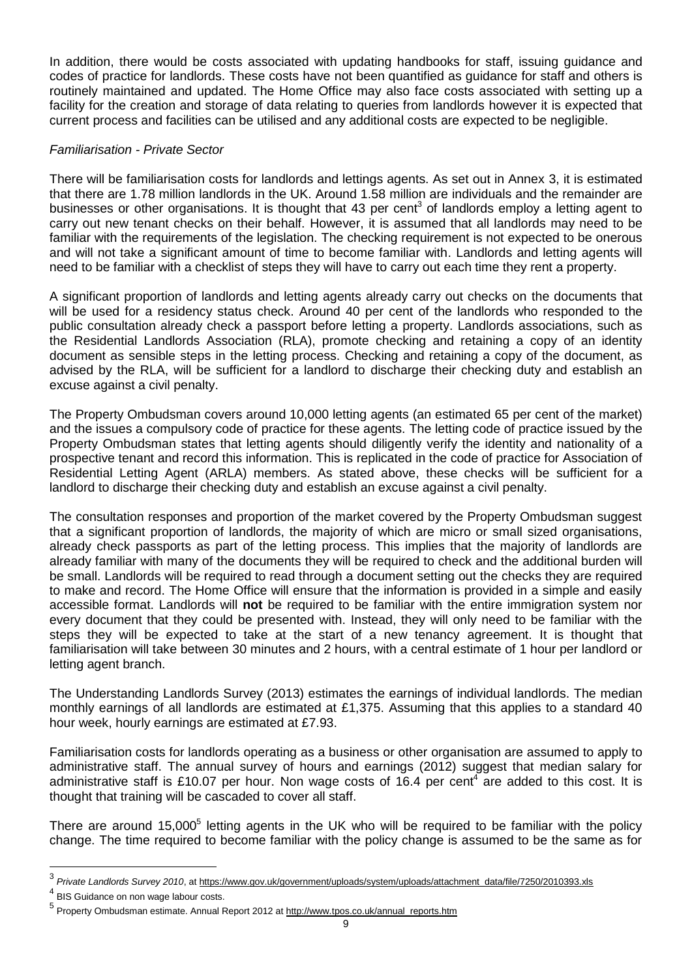In addition, there would be costs associated with updating handbooks for staff, issuing guidance and codes of practice for landlords. These costs have not been quantified as guidance for staff and others is routinely maintained and updated. The Home Office may also face costs associated with setting up a facility for the creation and storage of data relating to queries from landlords however it is expected that current process and facilities can be utilised and any additional costs are expected to be negligible.

### *Familiarisation - Private Sector*

There will be familiarisation costs for landlords and lettings agents. As set out in Annex 3, it is estimated that there are 1.78 million landlords in the UK. Around 1.58 million are individuals and the remainder are businesses or other organisations. It is thought that 43 per cent<sup>3</sup> of landlords employ a letting agent to carry out new tenant checks on their behalf. However, it is assumed that all landlords may need to be familiar with the requirements of the legislation. The checking requirement is not expected to be onerous and will not take a significant amount of time to become familiar with. Landlords and letting agents will need to be familiar with a checklist of steps they will have to carry out each time they rent a property.

A significant proportion of landlords and letting agents already carry out checks on the documents that will be used for a residency status check. Around 40 per cent of the landlords who responded to the public consultation already check a passport before letting a property. Landlords associations, such as the Residential Landlords Association (RLA), promote checking and retaining a copy of an identity document as sensible steps in the letting process. Checking and retaining a copy of the document, as advised by the RLA, will be sufficient for a landlord to discharge their checking duty and establish an excuse against a civil penalty.

The Property Ombudsman covers around 10,000 letting agents (an estimated 65 per cent of the market) and the issues a compulsory code of practice for these agents. The letting code of practice issued by the Property Ombudsman states that letting agents should diligently verify the identity and nationality of a prospective tenant and record this information. This is replicated in the code of practice for Association of Residential Letting Agent (ARLA) members. As stated above, these checks will be sufficient for a landlord to discharge their checking duty and establish an excuse against a civil penalty.

The consultation responses and proportion of the market covered by the Property Ombudsman suggest that a significant proportion of landlords, the majority of which are micro or small sized organisations, already check passports as part of the letting process. This implies that the majority of landlords are already familiar with many of the documents they will be required to check and the additional burden will be small. Landlords will be required to read through a document setting out the checks they are required to make and record. The Home Office will ensure that the information is provided in a simple and easily accessible format. Landlords will **not** be required to be familiar with the entire immigration system nor every document that they could be presented with. Instead, they will only need to be familiar with the steps they will be expected to take at the start of a new tenancy agreement. It is thought that familiarisation will take between 30 minutes and 2 hours, with a central estimate of 1 hour per landlord or letting agent branch.

The Understanding Landlords Survey (2013) estimates the earnings of individual landlords. The median monthly earnings of all landlords are estimated at £1,375. Assuming that this applies to a standard 40 hour week, hourly earnings are estimated at £7.93.

Familiarisation costs for landlords operating as a business or other organisation are assumed to apply to administrative staff. The annual survey of hours and earnings (2012) suggest that median salary for administrative staff is £10.07 per hour. Non wage costs of 16.4 per cent<sup>4</sup> are added to this cost. It is thought that training will be cascaded to cover all staff.

There are around 15,000<sup>5</sup> letting agents in the UK who will be required to be familiar with the policy change. The time required to become familiar with the policy change is assumed to be the same as for

 3 *Private Landlords Survey 2010*, a[t https://www.gov.uk/government/uploads/system/uploads/attachment\\_data/file/7250/2010393.xls](https://www.gov.uk/government/uploads/system/uploads/attachment_data/file/7250/2010393.xls)

<sup>&</sup>lt;sup>4</sup> BIS Guidance on non wage labour costs.

<sup>&</sup>lt;sup>5</sup> Property Ombudsman estimate. Annual Report 2012 at [http://www.tpos.co.uk/annual\\_reports.htm](http://www.tpos.co.uk/annual_reports.htm)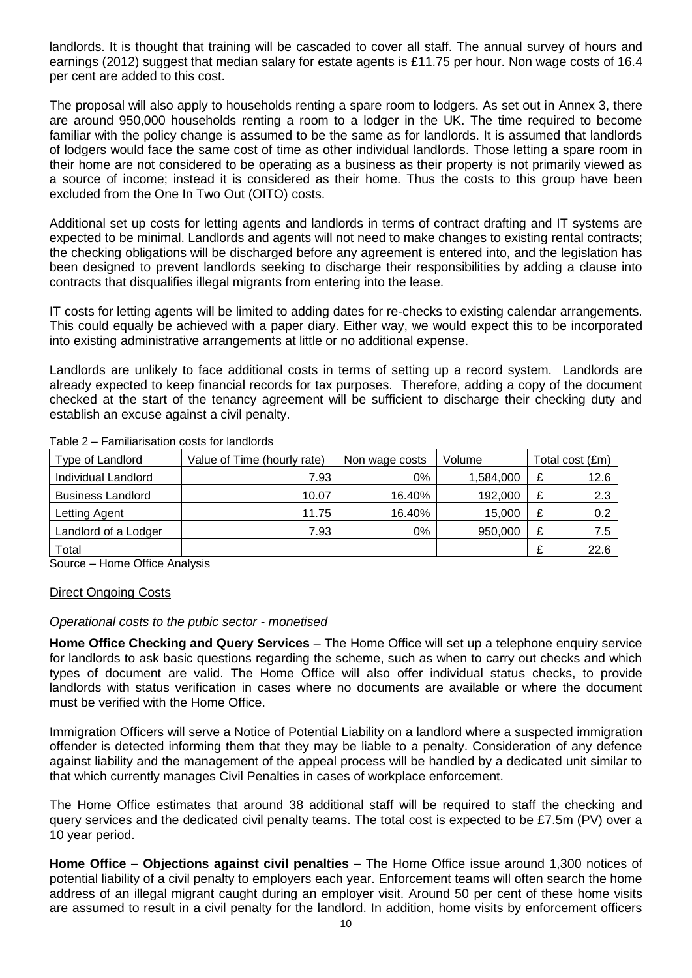landlords. It is thought that training will be cascaded to cover all staff. The annual survey of hours and earnings (2012) suggest that median salary for estate agents is £11.75 per hour. Non wage costs of 16.4 per cent are added to this cost.

The proposal will also apply to households renting a spare room to lodgers. As set out in Annex 3, there are around 950,000 households renting a room to a lodger in the UK. The time required to become familiar with the policy change is assumed to be the same as for landlords. It is assumed that landlords of lodgers would face the same cost of time as other individual landlords. Those letting a spare room in their home are not considered to be operating as a business as their property is not primarily viewed as a source of income; instead it is considered as their home. Thus the costs to this group have been excluded from the One In Two Out (OITO) costs.

Additional set up costs for letting agents and landlords in terms of contract drafting and IT systems are expected to be minimal. Landlords and agents will not need to make changes to existing rental contracts; the checking obligations will be discharged before any agreement is entered into, and the legislation has been designed to prevent landlords seeking to discharge their responsibilities by adding a clause into contracts that disqualifies illegal migrants from entering into the lease.

IT costs for letting agents will be limited to adding dates for re-checks to existing calendar arrangements. This could equally be achieved with a paper diary. Either way, we would expect this to be incorporated into existing administrative arrangements at little or no additional expense.

Landlords are unlikely to face additional costs in terms of setting up a record system. Landlords are already expected to keep financial records for tax purposes. Therefore, adding a copy of the document checked at the start of the tenancy agreement will be sufficient to discharge their checking duty and establish an excuse against a civil penalty.

| Type of Landlord         | Value of Time (hourly rate) | Non wage costs | Volume    |   | Total cost (£m) |
|--------------------------|-----------------------------|----------------|-----------|---|-----------------|
| Individual Landlord      | 7.93                        | $0\%$          | 1,584,000 | £ | 12.6            |
| <b>Business Landlord</b> | 10.07                       | 16.40%         | 192,000   | £ | 2.3             |
| Letting Agent            | 11.75                       | 16.40%         | 15,000    | £ | 0.2             |
| Landlord of a Lodger     | 7.93                        | 0%             | 950,000   | £ | 7.5             |
| Total                    |                             |                |           |   | 22.6            |

Table 2 – Familiarisation costs for landlords

Source – Home Office Analysis

#### Direct Ongoing Costs

### *Operational costs to the pubic sector - monetised*

**Home Office Checking and Query Services** – The Home Office will set up a telephone enquiry service for landlords to ask basic questions regarding the scheme, such as when to carry out checks and which types of document are valid. The Home Office will also offer individual status checks, to provide landlords with status verification in cases where no documents are available or where the document must be verified with the Home Office.

Immigration Officers will serve a Notice of Potential Liability on a landlord where a suspected immigration offender is detected informing them that they may be liable to a penalty. Consideration of any defence against liability and the management of the appeal process will be handled by a dedicated unit similar to that which currently manages Civil Penalties in cases of workplace enforcement.

The Home Office estimates that around 38 additional staff will be required to staff the checking and query services and the dedicated civil penalty teams. The total cost is expected to be £7.5m (PV) over a 10 year period.

**Home Office – Objections against civil penalties –** The Home Office issue around 1,300 notices of potential liability of a civil penalty to employers each year. Enforcement teams will often search the home address of an illegal migrant caught during an employer visit. Around 50 per cent of these home visits are assumed to result in a civil penalty for the landlord. In addition, home visits by enforcement officers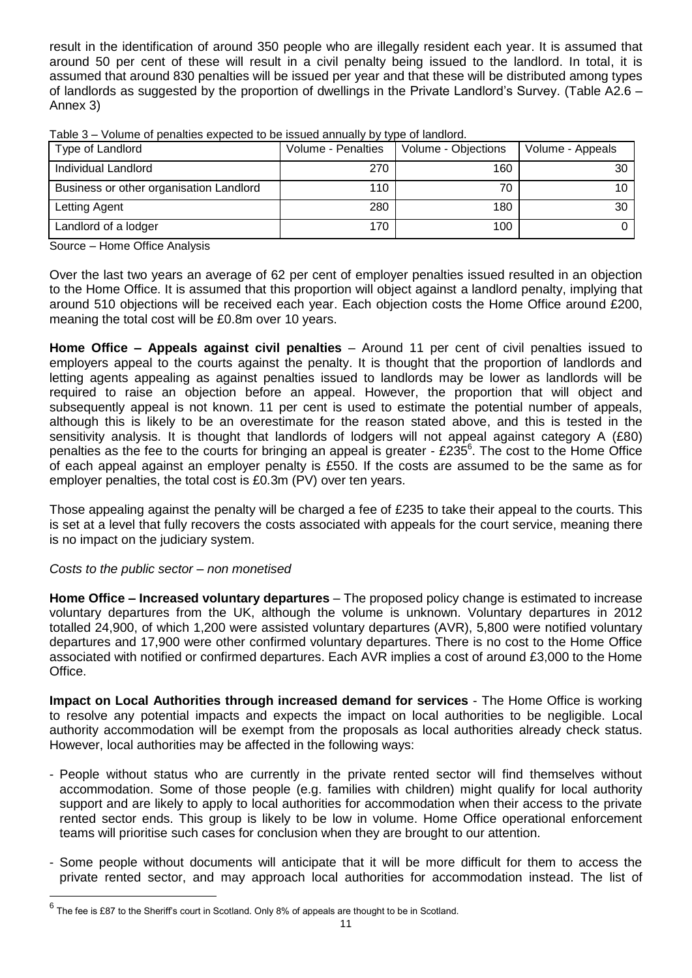result in the identification of around 350 people who are illegally resident each year. It is assumed that around 50 per cent of these will result in a civil penalty being issued to the landlord. In total, it is assumed that around 830 penalties will be issued per year and that these will be distributed among types of landlords as suggested by the proportion of dwellings in the Private Landlord"s Survey. (Table A2.6 – Annex 3)

| Type of Landlord                        | Volume - Penalties | Volume - Objections | Volume - Appeals |
|-----------------------------------------|--------------------|---------------------|------------------|
| Individual Landlord                     | 270                | 160                 | 30               |
| Business or other organisation Landlord | 110                | 70                  |                  |
| Letting Agent                           | 280                | 180                 | 30               |
| Landlord of a lodger                    | 170                | 100                 |                  |

Table 3 – Volume of penalties expected to be issued annually by type of landlord.

Source – Home Office Analysis

Over the last two years an average of 62 per cent of employer penalties issued resulted in an objection to the Home Office. It is assumed that this proportion will object against a landlord penalty, implying that around 510 objections will be received each year. Each objection costs the Home Office around £200, meaning the total cost will be £0.8m over 10 years.

**Home Office – Appeals against civil penalties** – Around 11 per cent of civil penalties issued to employers appeal to the courts against the penalty. It is thought that the proportion of landlords and letting agents appealing as against penalties issued to landlords may be lower as landlords will be required to raise an objection before an appeal. However, the proportion that will object and subsequently appeal is not known. 11 per cent is used to estimate the potential number of appeals, although this is likely to be an overestimate for the reason stated above, and this is tested in the sensitivity analysis. It is thought that landlords of lodgers will not appeal against category A (£80) penalties as the fee to the courts for bringing an appeal is greater - £235 $\textdegree$ . The cost to the Home Office of each appeal against an employer penalty is £550. If the costs are assumed to be the same as for employer penalties, the total cost is £0.3m (PV) over ten years.

Those appealing against the penalty will be charged a fee of £235 to take their appeal to the courts. This is set at a level that fully recovers the costs associated with appeals for the court service, meaning there is no impact on the judiciary system.

### *Costs to the public sector – non monetised*

l

**Home Office – Increased voluntary departures** – The proposed policy change is estimated to increase voluntary departures from the UK, although the volume is unknown. Voluntary departures in 2012 totalled 24,900, of which 1,200 were assisted voluntary departures (AVR), 5,800 were notified voluntary departures and 17,900 were other confirmed voluntary departures. There is no cost to the Home Office associated with notified or confirmed departures. Each AVR implies a cost of around £3,000 to the Home Office.

**Impact on Local Authorities through increased demand for services** - The Home Office is working to resolve any potential impacts and expects the impact on local authorities to be negligible. Local authority accommodation will be exempt from the proposals as local authorities already check status. However, local authorities may be affected in the following ways:

- People without status who are currently in the private rented sector will find themselves without accommodation. Some of those people (e.g. families with children) might qualify for local authority support and are likely to apply to local authorities for accommodation when their access to the private rented sector ends. This group is likely to be low in volume. Home Office operational enforcement teams will prioritise such cases for conclusion when they are brought to our attention.
- Some people without documents will anticipate that it will be more difficult for them to access the private rented sector, and may approach local authorities for accommodation instead. The list of

 $^6$  The fee is £87 to the Sheriff's court in Scotland. Only 8% of appeals are thought to be in Scotland.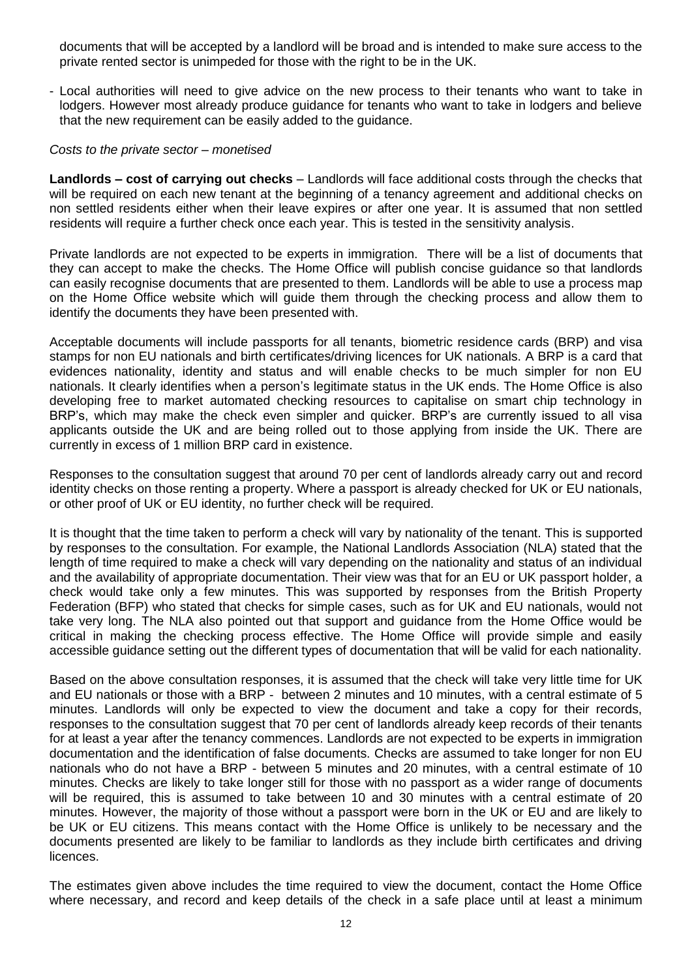documents that will be accepted by a landlord will be broad and is intended to make sure access to the private rented sector is unimpeded for those with the right to be in the UK.

- Local authorities will need to give advice on the new process to their tenants who want to take in lodgers. However most already produce guidance for tenants who want to take in lodgers and believe that the new requirement can be easily added to the guidance.

#### *Costs to the private sector – monetised*

**Landlords – cost of carrying out checks** – Landlords will face additional costs through the checks that will be required on each new tenant at the beginning of a tenancy agreement and additional checks on non settled residents either when their leave expires or after one year. It is assumed that non settled residents will require a further check once each year. This is tested in the sensitivity analysis.

Private landlords are not expected to be experts in immigration. There will be a list of documents that they can accept to make the checks. The Home Office will publish concise guidance so that landlords can easily recognise documents that are presented to them. Landlords will be able to use a process map on the Home Office website which will guide them through the checking process and allow them to identify the documents they have been presented with.

Acceptable documents will include passports for all tenants, biometric residence cards (BRP) and visa stamps for non EU nationals and birth certificates/driving licences for UK nationals. A BRP is a card that evidences nationality, identity and status and will enable checks to be much simpler for non EU nationals. It clearly identifies when a person"s legitimate status in the UK ends. The Home Office is also developing free to market automated checking resources to capitalise on smart chip technology in BRP"s, which may make the check even simpler and quicker. BRP"s are currently issued to all visa applicants outside the UK and are being rolled out to those applying from inside the UK. There are currently in excess of 1 million BRP card in existence.

Responses to the consultation suggest that around 70 per cent of landlords already carry out and record identity checks on those renting a property. Where a passport is already checked for UK or EU nationals, or other proof of UK or EU identity, no further check will be required.

It is thought that the time taken to perform a check will vary by nationality of the tenant. This is supported by responses to the consultation. For example, the National Landlords Association (NLA) stated that the length of time required to make a check will vary depending on the nationality and status of an individual and the availability of appropriate documentation. Their view was that for an EU or UK passport holder, a check would take only a few minutes. This was supported by responses from the British Property Federation (BFP) who stated that checks for simple cases, such as for UK and EU nationals, would not take very long. The NLA also pointed out that support and guidance from the Home Office would be critical in making the checking process effective. The Home Office will provide simple and easily accessible guidance setting out the different types of documentation that will be valid for each nationality.

Based on the above consultation responses, it is assumed that the check will take very little time for UK and EU nationals or those with a BRP - between 2 minutes and 10 minutes, with a central estimate of 5 minutes. Landlords will only be expected to view the document and take a copy for their records, responses to the consultation suggest that 70 per cent of landlords already keep records of their tenants for at least a year after the tenancy commences. Landlords are not expected to be experts in immigration documentation and the identification of false documents. Checks are assumed to take longer for non EU nationals who do not have a BRP - between 5 minutes and 20 minutes, with a central estimate of 10 minutes. Checks are likely to take longer still for those with no passport as a wider range of documents will be required, this is assumed to take between 10 and 30 minutes with a central estimate of 20 minutes. However, the majority of those without a passport were born in the UK or EU and are likely to be UK or EU citizens. This means contact with the Home Office is unlikely to be necessary and the documents presented are likely to be familiar to landlords as they include birth certificates and driving licences.

The estimates given above includes the time required to view the document, contact the Home Office where necessary, and record and keep details of the check in a safe place until at least a minimum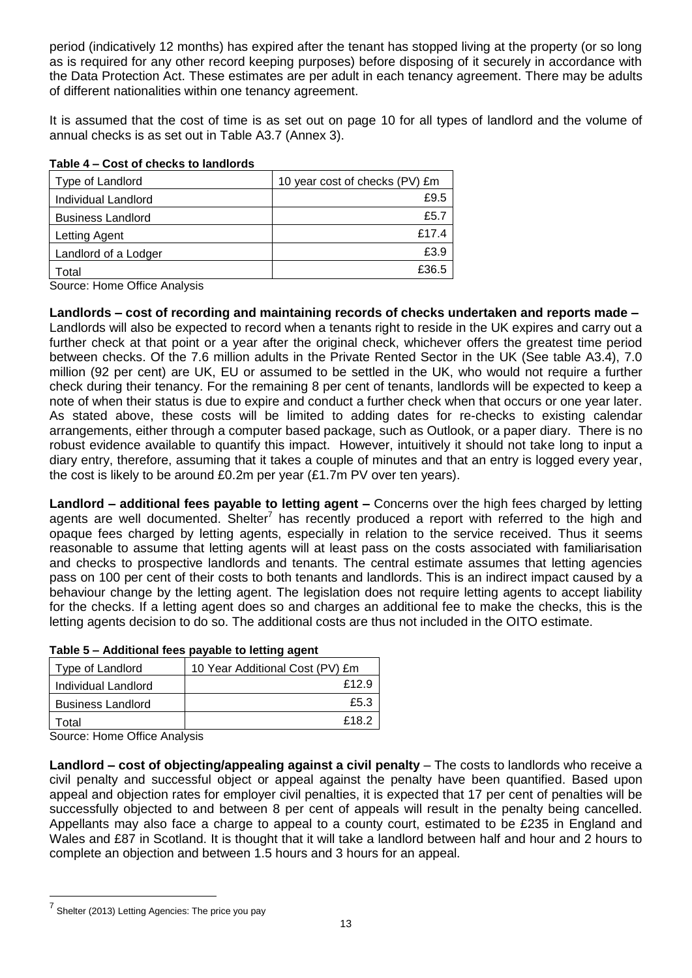period (indicatively 12 months) has expired after the tenant has stopped living at the property (or so long as is required for any other record keeping purposes) before disposing of it securely in accordance with the Data Protection Act. These estimates are per adult in each tenancy agreement. There may be adults of different nationalities within one tenancy agreement.

It is assumed that the cost of time is as set out on page 10 for all types of landlord and the volume of annual checks is as set out in Table A3.7 (Annex 3).

### **Table 4 – Cost of checks to landlords**

| Type of Landlord         | 10 year cost of checks (PV) £m |
|--------------------------|--------------------------------|
| Individual Landlord      | £9.5                           |
| <b>Business Landlord</b> | £5.7                           |
| Letting Agent            | f17.4                          |
| Landlord of a Lodger     | £3.9                           |
| <sup>'</sup> otal        | £36.5                          |

Source: Home Office Analysis

**Landlords – cost of recording and maintaining records of checks undertaken and reports made –** Landlords will also be expected to record when a tenants right to reside in the UK expires and carry out a further check at that point or a year after the original check, whichever offers the greatest time period between checks. Of the 7.6 million adults in the Private Rented Sector in the UK (See table A3.4), 7.0 million (92 per cent) are UK, EU or assumed to be settled in the UK, who would not require a further check during their tenancy. For the remaining 8 per cent of tenants, landlords will be expected to keep a note of when their status is due to expire and conduct a further check when that occurs or one year later. As stated above, these costs will be limited to adding dates for re-checks to existing calendar arrangements, either through a computer based package, such as Outlook, or a paper diary. There is no robust evidence available to quantify this impact. However, intuitively it should not take long to input a diary entry, therefore, assuming that it takes a couple of minutes and that an entry is logged every year, the cost is likely to be around £0.2m per year (£1.7m PV over ten years).

**Landlord – additional fees payable to letting agent –** Concerns over the high fees charged by letting agents are well documented. Shelter<sup>7</sup> has recently produced a report with referred to the high and opaque fees charged by letting agents, especially in relation to the service received. Thus it seems reasonable to assume that letting agents will at least pass on the costs associated with familiarisation and checks to prospective landlords and tenants. The central estimate assumes that letting agencies pass on 100 per cent of their costs to both tenants and landlords. This is an indirect impact caused by a behaviour change by the letting agent. The legislation does not require letting agents to accept liability for the checks. If a letting agent does so and charges an additional fee to make the checks, this is the letting agents decision to do so. The additional costs are thus not included in the OITO estimate.

| Type of Landlord         | 10 Year Additional Cost (PV) £m |
|--------------------------|---------------------------------|
| Individual Landlord      | £12.9                           |
| <b>Business Landlord</b> | £5.3                            |
| Total                    | £18.2                           |

### **Table 5 – Additional fees payable to letting agent**

Source: Home Office Analysis

l

**Landlord – cost of objecting/appealing against a civil penalty** – The costs to landlords who receive a civil penalty and successful object or appeal against the penalty have been quantified. Based upon appeal and objection rates for employer civil penalties, it is expected that 17 per cent of penalties will be successfully objected to and between 8 per cent of appeals will result in the penalty being cancelled. Appellants may also face a charge to appeal to a county court, estimated to be £235 in England and Wales and £87 in Scotland. It is thought that it will take a landlord between half and hour and 2 hours to complete an objection and between 1.5 hours and 3 hours for an appeal.

<sup>&</sup>lt;sup>7</sup> Shelter (2013) Letting Agencies: The price you pay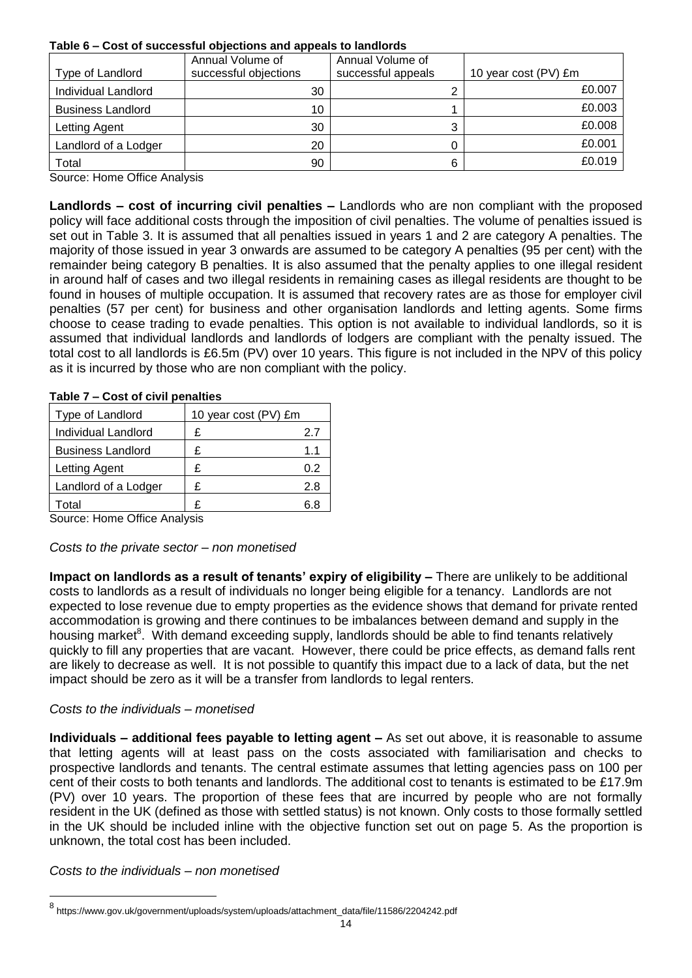### **Table 6 – Cost of successful objections and appeals to landlords**

|                          | Annual Volume of      | Annual Volume of   |                      |
|--------------------------|-----------------------|--------------------|----------------------|
| Type of Landlord         | successful objections | successful appeals | 10 year cost (PV) £m |
| Individual Landlord      | 30                    |                    | £0.007               |
| <b>Business Landlord</b> | 10                    |                    | £0.003               |
| Letting Agent            | 30                    |                    | £0.008               |
| Landlord of a Lodger     | 20                    |                    | £0.001               |
| Total                    | 90                    | 6                  | £0.019               |

Source: Home Office Analysis

**Landlords – cost of incurring civil penalties –** Landlords who are non compliant with the proposed policy will face additional costs through the imposition of civil penalties. The volume of penalties issued is set out in Table 3. It is assumed that all penalties issued in years 1 and 2 are category A penalties. The majority of those issued in year 3 onwards are assumed to be category A penalties (95 per cent) with the remainder being category B penalties. It is also assumed that the penalty applies to one illegal resident in around half of cases and two illegal residents in remaining cases as illegal residents are thought to be found in houses of multiple occupation. It is assumed that recovery rates are as those for employer civil penalties (57 per cent) for business and other organisation landlords and letting agents. Some firms choose to cease trading to evade penalties. This option is not available to individual landlords, so it is assumed that individual landlords and landlords of lodgers are compliant with the penalty issued. The total cost to all landlords is £6.5m (PV) over 10 years. This figure is not included in the NPV of this policy as it is incurred by those who are non compliant with the policy.

| Type of Landlord         | 10 year cost (PV) £m |     |
|--------------------------|----------------------|-----|
| Individual Landlord      | £                    | 2.7 |
| <b>Business Landlord</b> | £                    | 1.1 |
| Letting Agent            | £                    | 0.2 |
| Landlord of a Lodger     | £                    | 2.8 |
| Total                    |                      | 6.የ |
|                          |                      |     |

### **Table 7 – Cost of civil penalties**

Source: Home Office Analysis

#### *Costs to the private sector – non monetised*

**Impact on landlords as a result of tenants' expiry of eligibility –** There are unlikely to be additional costs to landlords as a result of individuals no longer being eligible for a tenancy. Landlords are not expected to lose revenue due to empty properties as the evidence shows that demand for private rented accommodation is growing and there continues to be imbalances between demand and supply in the housing market<sup>8</sup>. With demand exceeding supply, landlords should be able to find tenants relatively quickly to fill any properties that are vacant. However, there could be price effects, as demand falls rent are likely to decrease as well. It is not possible to quantify this impact due to a lack of data, but the net impact should be zero as it will be a transfer from landlords to legal renters.

### *Costs to the individuals – monetised*

**Individuals – additional fees payable to letting agent –** As set out above, it is reasonable to assume that letting agents will at least pass on the costs associated with familiarisation and checks to prospective landlords and tenants. The central estimate assumes that letting agencies pass on 100 per cent of their costs to both tenants and landlords. The additional cost to tenants is estimated to be £17.9m (PV) over 10 years. The proportion of these fees that are incurred by people who are not formally resident in the UK (defined as those with settled status) is not known. Only costs to those formally settled in the UK should be included inline with the objective function set out on page 5. As the proportion is unknown, the total cost has been included.

#### *Costs to the individuals – non monetised*

l

<sup>&</sup>lt;sup>8</sup>https://www.gov.uk/government/uploads/system/uploads/attachment\_data/file/11586/2204242.pdf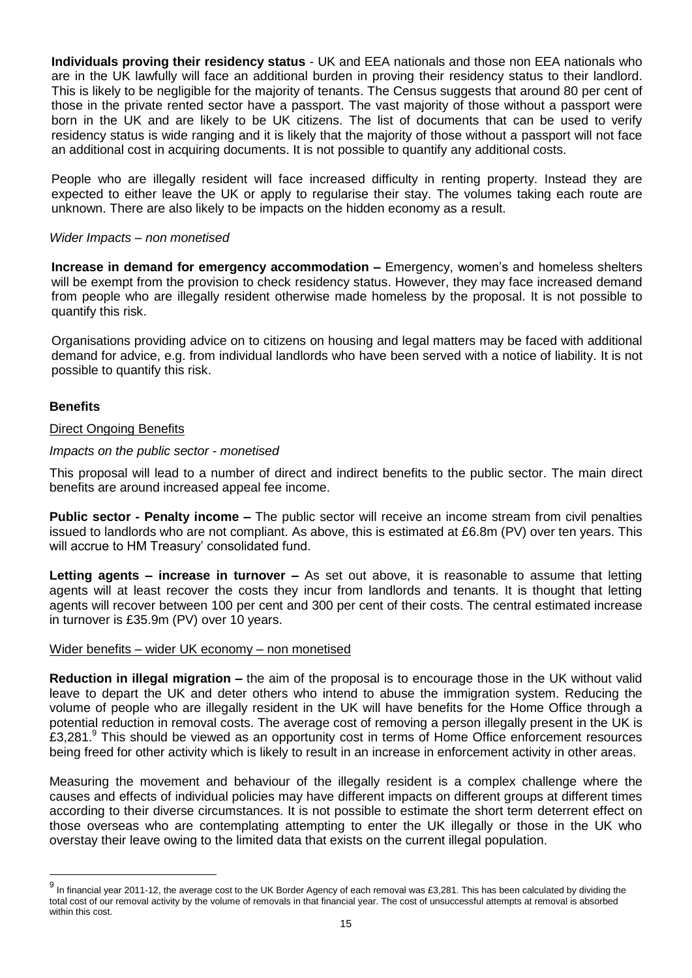**Individuals proving their residency status** - UK and EEA nationals and those non EEA nationals who are in the UK lawfully will face an additional burden in proving their residency status to their landlord. This is likely to be negligible for the majority of tenants. The Census suggests that around 80 per cent of those in the private rented sector have a passport. The vast majority of those without a passport were born in the UK and are likely to be UK citizens. The list of documents that can be used to verify residency status is wide ranging and it is likely that the majority of those without a passport will not face an additional cost in acquiring documents. It is not possible to quantify any additional costs.

People who are illegally resident will face increased difficulty in renting property. Instead they are expected to either leave the UK or apply to regularise their stay. The volumes taking each route are unknown. There are also likely to be impacts on the hidden economy as a result.

### *Wider Impacts – non monetised*

**Increase in demand for emergency accommodation –** Emergency, women's and homeless shelters will be exempt from the provision to check residency status. However, they may face increased demand from people who are illegally resident otherwise made homeless by the proposal. It is not possible to quantify this risk.

Organisations providing advice on to citizens on housing and legal matters may be faced with additional demand for advice, e.g. from individual landlords who have been served with a notice of liability. It is not possible to quantify this risk.

### **Benefits**

 $\overline{a}$ 

### Direct Ongoing Benefits

### *Impacts on the public sector - monetised*

This proposal will lead to a number of direct and indirect benefits to the public sector. The main direct benefits are around increased appeal fee income.

**Public sector - Penalty income –** The public sector will receive an income stream from civil penalties issued to landlords who are not compliant. As above, this is estimated at £6.8m (PV) over ten years. This will accrue to HM Treasury' consolidated fund.

**Letting agents – increase in turnover –** As set out above, it is reasonable to assume that letting agents will at least recover the costs they incur from landlords and tenants. It is thought that letting agents will recover between 100 per cent and 300 per cent of their costs. The central estimated increase in turnover is £35.9m (PV) over 10 years.

#### Wider benefits – wider UK economy – non monetised

**Reduction in illegal migration –** the aim of the proposal is to encourage those in the UK without valid leave to depart the UK and deter others who intend to abuse the immigration system. Reducing the volume of people who are illegally resident in the UK will have benefits for the Home Office through a potential reduction in removal costs. The average cost of removing a person illegally present in the UK is £3,281.<sup>9</sup> This should be viewed as an opportunity cost in terms of Home Office enforcement resources being freed for other activity which is likely to result in an increase in enforcement activity in other areas.

Measuring the movement and behaviour of the illegally resident is a complex challenge where the causes and effects of individual policies may have different impacts on different groups at different times according to their diverse circumstances. It is not possible to estimate the short term deterrent effect on those overseas who are contemplating attempting to enter the UK illegally or those in the UK who overstay their leave owing to the limited data that exists on the current illegal population.

 $^9$  In financial year 2011-12, the average cost to the UK Border Agency of each removal was £3,281. This has been calculated by dividing the total cost of our removal activity by the volume of removals in that financial year. The cost of unsuccessful attempts at removal is absorbed within this cost.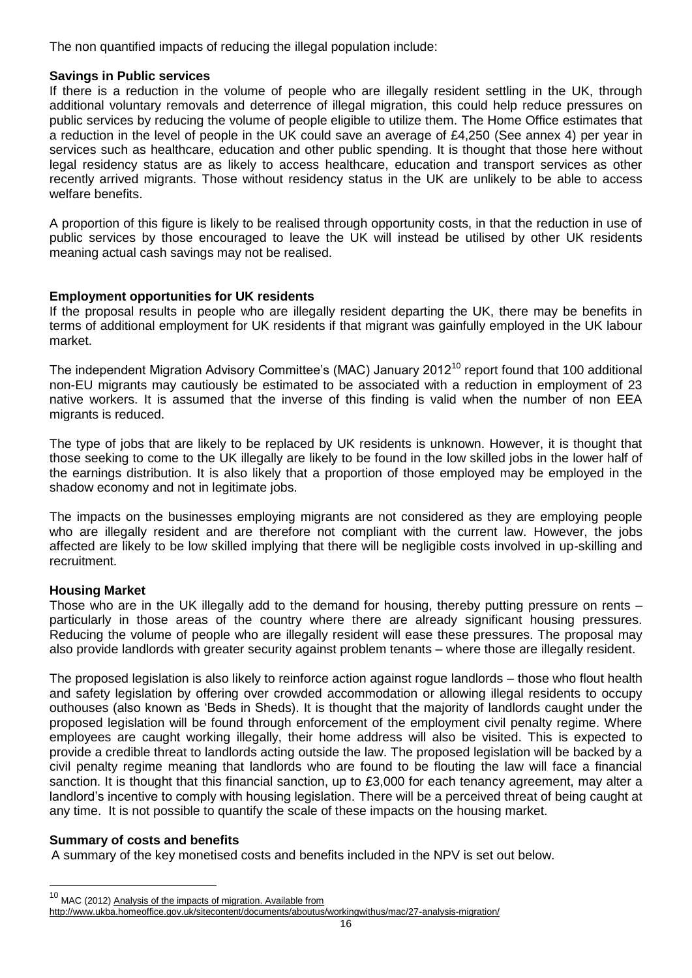The non quantified impacts of reducing the illegal population include:

### **Savings in Public services**

If there is a reduction in the volume of people who are illegally resident settling in the UK, through additional voluntary removals and deterrence of illegal migration, this could help reduce pressures on public services by reducing the volume of people eligible to utilize them. The Home Office estimates that a reduction in the level of people in the UK could save an average of £4,250 (See annex 4) per year in services such as healthcare, education and other public spending. It is thought that those here without legal residency status are as likely to access healthcare, education and transport services as other recently arrived migrants. Those without residency status in the UK are unlikely to be able to access welfare benefits.

A proportion of this figure is likely to be realised through opportunity costs, in that the reduction in use of public services by those encouraged to leave the UK will instead be utilised by other UK residents meaning actual cash savings may not be realised.

### **Employment opportunities for UK residents**

If the proposal results in people who are illegally resident departing the UK, there may be benefits in terms of additional employment for UK residents if that migrant was gainfully employed in the UK labour market.

The independent Migration Advisory Committee's (MAC) January 2012<sup>10</sup> report found that 100 additional non-EU migrants may cautiously be estimated to be associated with a reduction in employment of 23 native workers. It is assumed that the inverse of this finding is valid when the number of non EEA migrants is reduced.

The type of jobs that are likely to be replaced by UK residents is unknown. However, it is thought that those seeking to come to the UK illegally are likely to be found in the low skilled jobs in the lower half of the earnings distribution. It is also likely that a proportion of those employed may be employed in the shadow economy and not in legitimate jobs.

The impacts on the businesses employing migrants are not considered as they are employing people who are illegally resident and are therefore not compliant with the current law. However, the jobs affected are likely to be low skilled implying that there will be negligible costs involved in up-skilling and recruitment.

### **Housing Market**

Those who are in the UK illegally add to the demand for housing, thereby putting pressure on rents – particularly in those areas of the country where there are already significant housing pressures. Reducing the volume of people who are illegally resident will ease these pressures. The proposal may also provide landlords with greater security against problem tenants – where those are illegally resident.

The proposed legislation is also likely to reinforce action against rogue landlords – those who flout health and safety legislation by offering over crowded accommodation or allowing illegal residents to occupy outhouses (also known as "Beds in Sheds). It is thought that the majority of landlords caught under the proposed legislation will be found through enforcement of the employment civil penalty regime. Where employees are caught working illegally, their home address will also be visited. This is expected to provide a credible threat to landlords acting outside the law. The proposed legislation will be backed by a civil penalty regime meaning that landlords who are found to be flouting the law will face a financial sanction. It is thought that this financial sanction, up to £3,000 for each tenancy agreement, may alter a landlord"s incentive to comply with housing legislation. There will be a perceived threat of being caught at any time. It is not possible to quantify the scale of these impacts on the housing market.

### **Summary of costs and benefits**

l

A summary of the key monetised costs and benefits included in the NPV is set out below.

<sup>&</sup>lt;sup>10</sup> MAC (2012) Analysis of the impacts of migration. Available from <http://www.ukba.homeoffice.gov.uk/sitecontent/documents/aboutus/workingwithus/mac/27-analysis-migration/>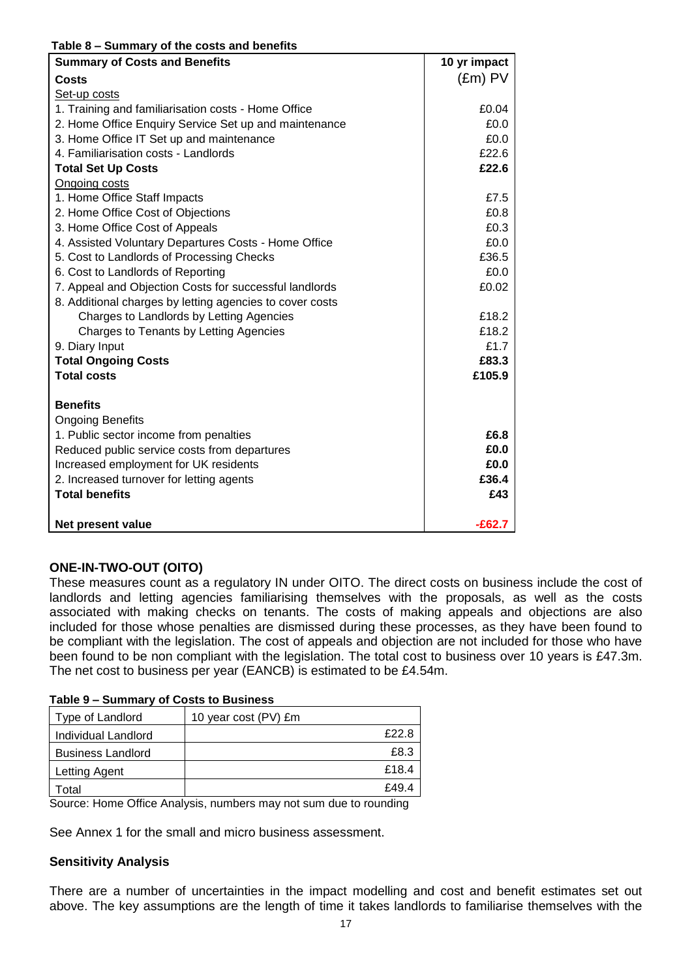### **Table 8 – Summary of the costs and benefits**

| <b>Summary of Costs and Benefits</b>                     | 10 yr impact     |
|----------------------------------------------------------|------------------|
| Costs                                                    | $(\text{Em})$ PV |
| Set-up costs                                             |                  |
| 1. Training and familiarisation costs - Home Office      | £0.04            |
| 2. Home Office Enquiry Service Set up and maintenance    | £0.0             |
| 3. Home Office IT Set up and maintenance                 | £0.0             |
| 4. Familiarisation costs - Landlords                     | £22.6            |
| <b>Total Set Up Costs</b>                                | £22.6            |
| Ongoing costs                                            |                  |
| 1. Home Office Staff Impacts                             | £7.5             |
| 2. Home Office Cost of Objections                        | £0.8             |
| 3. Home Office Cost of Appeals                           | £0.3             |
| 4. Assisted Voluntary Departures Costs - Home Office     | £0.0             |
| 5. Cost to Landlords of Processing Checks                | £36.5            |
| 6. Cost to Landlords of Reporting                        | £0.0             |
| 7. Appeal and Objection Costs for successful landlords   | £0.02            |
| 8. Additional charges by letting agencies to cover costs |                  |
| Charges to Landlords by Letting Agencies                 | £18.2            |
| Charges to Tenants by Letting Agencies                   | £18.2            |
| 9. Diary Input                                           | £1.7             |
| <b>Total Ongoing Costs</b>                               | £83.3            |
| <b>Total costs</b>                                       | £105.9           |
| <b>Benefits</b>                                          |                  |
| <b>Ongoing Benefits</b>                                  |                  |
| 1. Public sector income from penalties                   | £6.8             |
| Reduced public service costs from departures             | £0.0             |
| Increased employment for UK residents                    | £0.0             |
| 2. Increased turnover for letting agents                 | £36.4            |
| <b>Total benefits</b>                                    | £43              |
|                                                          |                  |
| Net present value                                        | $-£62.7$         |

### **ONE-IN-TWO-OUT (OITO)**

These measures count as a regulatory IN under OITO. The direct costs on business include the cost of landlords and letting agencies familiarising themselves with the proposals, as well as the costs associated with making checks on tenants. The costs of making appeals and objections are also included for those whose penalties are dismissed during these processes, as they have been found to be compliant with the legislation. The cost of appeals and objection are not included for those who have been found to be non compliant with the legislation. The total cost to business over 10 years is £47.3m. The net cost to business per year (EANCB) is estimated to be £4.54m.

### **Table 9 – Summary of Costs to Business**

| Type of Landlord         | 10 year cost (PV) £m |
|--------------------------|----------------------|
| Individual Landlord      | £22.8                |
| <b>Business Landlord</b> | £8.3                 |
| Letting Agent            | £18.4                |
| otal.                    | £49.4                |

Source: Home Office Analysis, numbers may not sum due to rounding

See Annex 1 for the small and micro business assessment.

#### **Sensitivity Analysis**

There are a number of uncertainties in the impact modelling and cost and benefit estimates set out above. The key assumptions are the length of time it takes landlords to familiarise themselves with the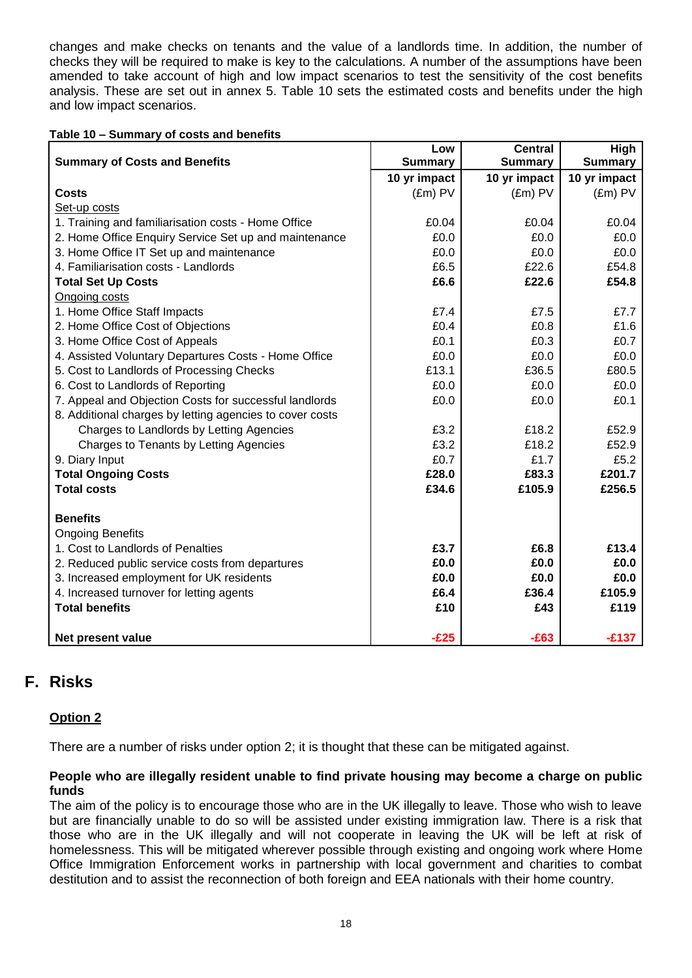changes and make checks on tenants and the value of a landlords time. In addition, the number of checks they will be required to make is key to the calculations. A number of the assumptions have been amended to take account of high and low impact scenarios to test the sensitivity of the cost benefits analysis. These are set out in annex 5. Table 10 sets the estimated costs and benefits under the high and low impact scenarios.

#### **Table 10 – Summary of costs and benefits**

|                                                          | Low            | <b>Central</b>   | High             |
|----------------------------------------------------------|----------------|------------------|------------------|
| <b>Summary of Costs and Benefits</b>                     | <b>Summary</b> | <b>Summary</b>   | <b>Summary</b>   |
|                                                          | 10 yr impact   | 10 yr impact     | 10 yr impact     |
| <b>Costs</b>                                             | (£m) PV        | $(\text{Em})$ PV | $(\text{Em})$ PV |
| Set-up costs                                             |                |                  |                  |
| 1. Training and familiarisation costs - Home Office      | £0.04          | £0.04            | £0.04            |
| 2. Home Office Enquiry Service Set up and maintenance    | £0.0           | £0.0             | £0.0             |
| 3. Home Office IT Set up and maintenance                 | £0.0           | £0.0             | £0.0             |
| 4. Familiarisation costs - Landlords                     | £6.5           | £22.6            | £54.8            |
| <b>Total Set Up Costs</b>                                | £6.6           | £22.6            | £54.8            |
| Ongoing costs                                            |                |                  |                  |
| 1. Home Office Staff Impacts                             | £7.4           | £7.5             | £7.7             |
| 2. Home Office Cost of Objections                        | £0.4           | £0.8             | £1.6             |
| 3. Home Office Cost of Appeals                           | £0.1           | £0.3             | £0.7             |
| 4. Assisted Voluntary Departures Costs - Home Office     | £0.0           | £0.0             | £0.0             |
| 5. Cost to Landlords of Processing Checks                | £13.1          | £36.5            | £80.5            |
| 6. Cost to Landlords of Reporting                        | £0.0           | £0.0             | £0.0             |
| 7. Appeal and Objection Costs for successful landlords   | £0.0           | £0.0             | £0.1             |
| 8. Additional charges by letting agencies to cover costs |                |                  |                  |
| Charges to Landlords by Letting Agencies                 | £3.2           | £18.2            | £52.9            |
| Charges to Tenants by Letting Agencies                   | £3.2           | £18.2            | £52.9            |
| 9. Diary Input                                           | £0.7           | £1.7             | £5.2             |
| <b>Total Ongoing Costs</b>                               | £28.0          | £83.3            | £201.7           |
| <b>Total costs</b>                                       | £34.6          | £105.9           | £256.5           |
| <b>Benefits</b>                                          |                |                  |                  |
| <b>Ongoing Benefits</b>                                  |                |                  |                  |
| 1. Cost to Landlords of Penalties                        | £3.7           | £6.8             | £13.4            |
| 2. Reduced public service costs from departures          | £0.0           | £0.0             | £0.0             |
| 3. Increased employment for UK residents                 | £0.0           | £0.0             | £0.0             |
| 4. Increased turnover for letting agents                 | £6.4           | £36.4            | £105.9           |
| <b>Total benefits</b>                                    | £10            | £43              | £119             |
| Net present value                                        | $-E25$         | $-E63$           | $-£137$          |

### **F. Risks**

### **Option 2**

There are a number of risks under option 2; it is thought that these can be mitigated against.

### **People who are illegally resident unable to find private housing may become a charge on public funds**

The aim of the policy is to encourage those who are in the UK illegally to leave. Those who wish to leave but are financially unable to do so will be assisted under existing immigration law. There is a risk that those who are in the UK illegally and will not cooperate in leaving the UK will be left at risk of homelessness. This will be mitigated wherever possible through existing and ongoing work where Home Office Immigration Enforcement works in partnership with local government and charities to combat destitution and to assist the reconnection of both foreign and EEA nationals with their home country.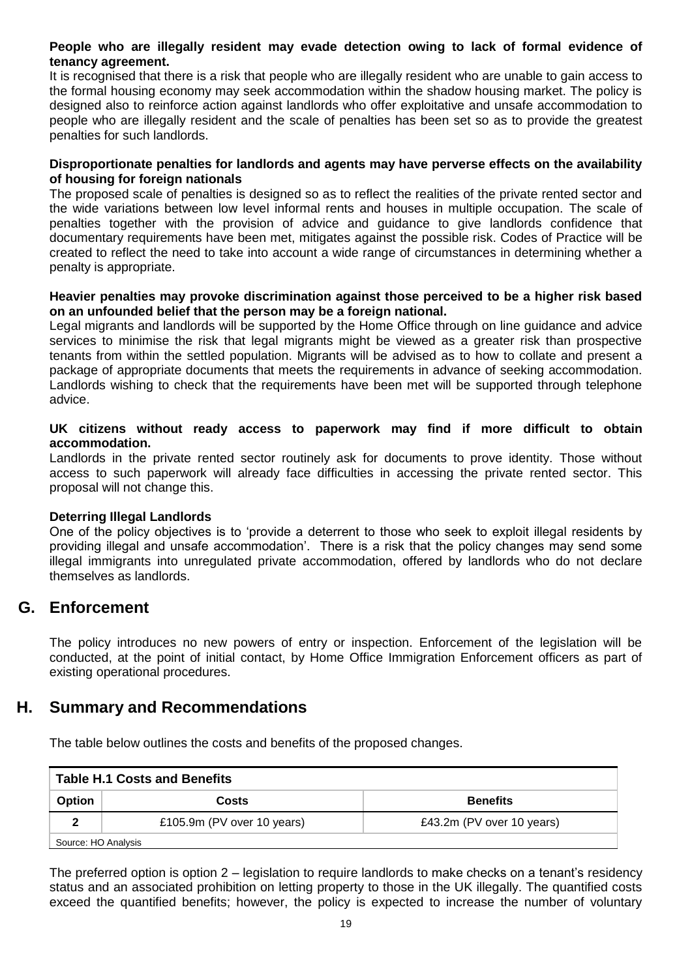### **People who are illegally resident may evade detection owing to lack of formal evidence of tenancy agreement.**

It is recognised that there is a risk that people who are illegally resident who are unable to gain access to the formal housing economy may seek accommodation within the shadow housing market. The policy is designed also to reinforce action against landlords who offer exploitative and unsafe accommodation to people who are illegally resident and the scale of penalties has been set so as to provide the greatest penalties for such landlords.

### **Disproportionate penalties for landlords and agents may have perverse effects on the availability of housing for foreign nationals**

The proposed scale of penalties is designed so as to reflect the realities of the private rented sector and the wide variations between low level informal rents and houses in multiple occupation. The scale of penalties together with the provision of advice and guidance to give landlords confidence that documentary requirements have been met, mitigates against the possible risk. Codes of Practice will be created to reflect the need to take into account a wide range of circumstances in determining whether a penalty is appropriate.

### **Heavier penalties may provoke discrimination against those perceived to be a higher risk based on an unfounded belief that the person may be a foreign national.**

Legal migrants and landlords will be supported by the Home Office through on line guidance and advice services to minimise the risk that legal migrants might be viewed as a greater risk than prospective tenants from within the settled population. Migrants will be advised as to how to collate and present a package of appropriate documents that meets the requirements in advance of seeking accommodation. Landlords wishing to check that the requirements have been met will be supported through telephone advice.

### **UK citizens without ready access to paperwork may find if more difficult to obtain accommodation.**

Landlords in the private rented sector routinely ask for documents to prove identity. Those without access to such paperwork will already face difficulties in accessing the private rented sector. This proposal will not change this.

### **Deterring Illegal Landlords**

One of the policy objectives is to "provide a deterrent to those who seek to exploit illegal residents by providing illegal and unsafe accommodation". There is a risk that the policy changes may send some illegal immigrants into unregulated private accommodation, offered by landlords who do not declare themselves as landlords.

### **G. Enforcement**

The policy introduces no new powers of entry or inspection. Enforcement of the legislation will be conducted, at the point of initial contact, by Home Office Immigration Enforcement officers as part of existing operational procedures.

### **H. Summary and Recommendations**

The table below outlines the costs and benefits of the proposed changes.

| <b>Table H.1 Costs and Benefits</b> |                            |                           |  |  |  |  |  |
|-------------------------------------|----------------------------|---------------------------|--|--|--|--|--|
| <b>Option</b>                       | Costs                      | <b>Benefits</b>           |  |  |  |  |  |
| 2                                   | £105.9m (PV over 10 years) | £43.2m (PV over 10 years) |  |  |  |  |  |
| Source: HO Analysis                 |                            |                           |  |  |  |  |  |

The preferred option is option 2 – legislation to require landlords to make checks on a tenant's residency status and an associated prohibition on letting property to those in the UK illegally. The quantified costs exceed the quantified benefits; however, the policy is expected to increase the number of voluntary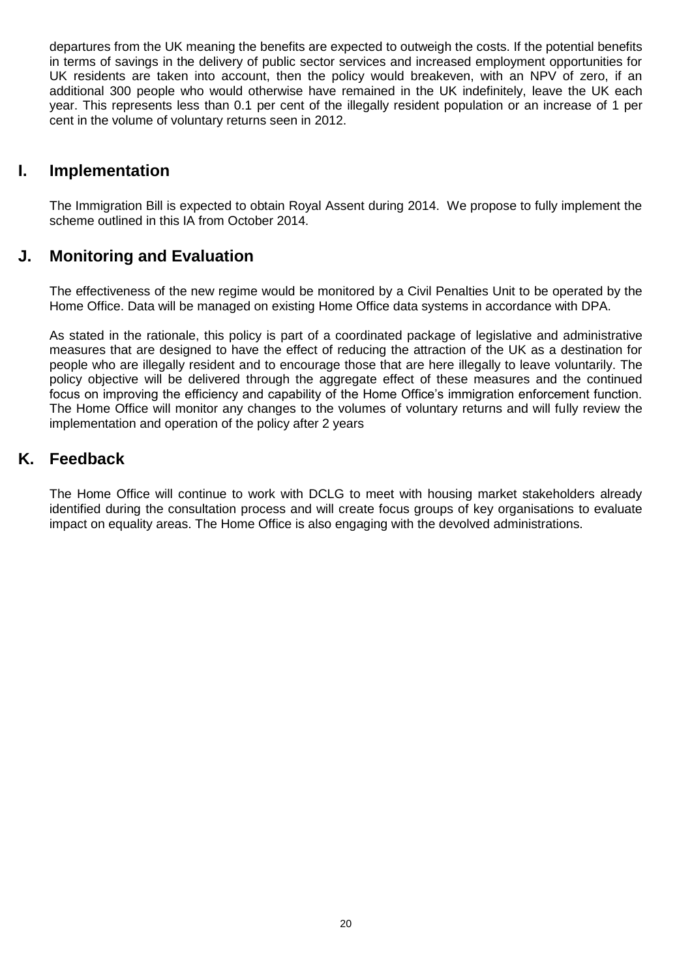departures from the UK meaning the benefits are expected to outweigh the costs. If the potential benefits in terms of savings in the delivery of public sector services and increased employment opportunities for UK residents are taken into account, then the policy would breakeven, with an NPV of zero, if an additional 300 people who would otherwise have remained in the UK indefinitely, leave the UK each year. This represents less than 0.1 per cent of the illegally resident population or an increase of 1 per cent in the volume of voluntary returns seen in 2012.

### **I. Implementation**

The Immigration Bill is expected to obtain Royal Assent during 2014. We propose to fully implement the scheme outlined in this IA from October 2014.

### **J. Monitoring and Evaluation**

The effectiveness of the new regime would be monitored by a Civil Penalties Unit to be operated by the Home Office. Data will be managed on existing Home Office data systems in accordance with DPA.

As stated in the rationale, this policy is part of a coordinated package of legislative and administrative measures that are designed to have the effect of reducing the attraction of the UK as a destination for people who are illegally resident and to encourage those that are here illegally to leave voluntarily. The policy objective will be delivered through the aggregate effect of these measures and the continued focus on improving the efficiency and capability of the Home Office"s immigration enforcement function. The Home Office will monitor any changes to the volumes of voluntary returns and will fully review the implementation and operation of the policy after 2 years

### **K. Feedback**

The Home Office will continue to work with DCLG to meet with housing market stakeholders already identified during the consultation process and will create focus groups of key organisations to evaluate impact on equality areas. The Home Office is also engaging with the devolved administrations.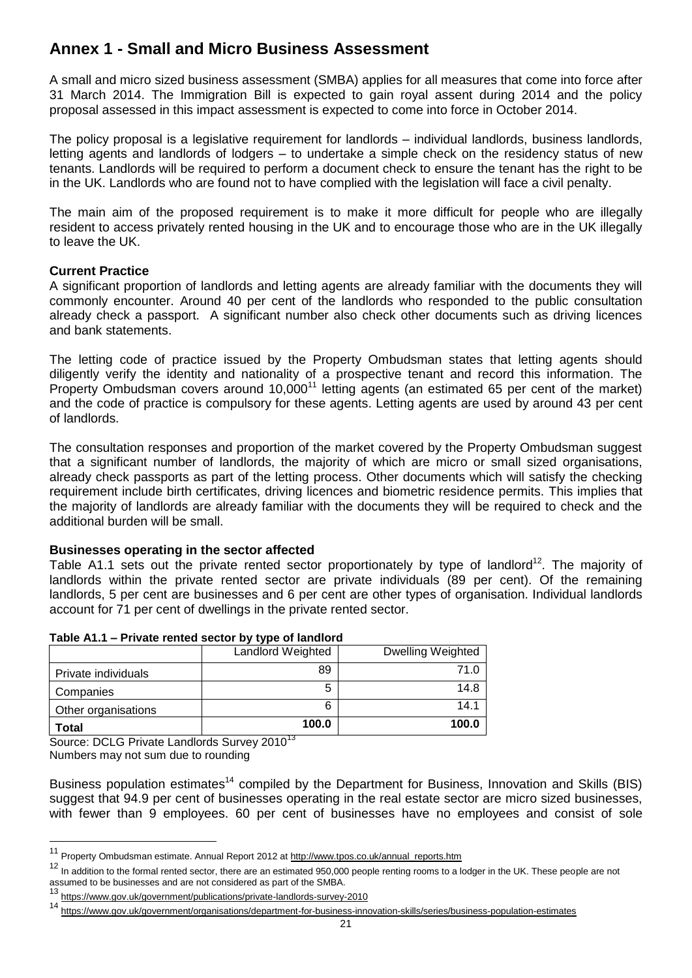### **Annex 1 - Small and Micro Business Assessment**

A small and micro sized business assessment (SMBA) applies for all measures that come into force after 31 March 2014. The Immigration Bill is expected to gain royal assent during 2014 and the policy proposal assessed in this impact assessment is expected to come into force in October 2014.

The policy proposal is a legislative requirement for landlords – individual landlords, business landlords, letting agents and landlords of lodgers – to undertake a simple check on the residency status of new tenants. Landlords will be required to perform a document check to ensure the tenant has the right to be in the UK. Landlords who are found not to have complied with the legislation will face a civil penalty.

The main aim of the proposed requirement is to make it more difficult for people who are illegally resident to access privately rented housing in the UK and to encourage those who are in the UK illegally to leave the UK.

### **Current Practice**

A significant proportion of landlords and letting agents are already familiar with the documents they will commonly encounter. Around 40 per cent of the landlords who responded to the public consultation already check a passport. A significant number also check other documents such as driving licences and bank statements.

The letting code of practice issued by the Property Ombudsman states that letting agents should diligently verify the identity and nationality of a prospective tenant and record this information. The Property Ombudsman covers around 10,000<sup>11</sup> letting agents (an estimated 65 per cent of the market) and the code of practice is compulsory for these agents. Letting agents are used by around 43 per cent of landlords.

The consultation responses and proportion of the market covered by the Property Ombudsman suggest that a significant number of landlords, the majority of which are micro or small sized organisations, already check passports as part of the letting process. Other documents which will satisfy the checking requirement include birth certificates, driving licences and biometric residence permits. This implies that the majority of landlords are already familiar with the documents they will be required to check and the additional burden will be small.

### **Businesses operating in the sector affected**

Table A1.1 sets out the private rented sector proportionately by type of landlord<sup>12</sup>. The majority of landlords within the private rented sector are private individuals (89 per cent). Of the remaining landlords, 5 per cent are businesses and 6 per cent are other types of organisation. Individual landlords account for 71 per cent of dwellings in the private rented sector.

| $1000$ AT $1 - 1$ Treato Tomou South by type of families |                   |                          |  |  |  |  |  |
|----------------------------------------------------------|-------------------|--------------------------|--|--|--|--|--|
|                                                          | Landlord Weighted | <b>Dwelling Weighted</b> |  |  |  |  |  |
| Private individuals                                      | 89                | 71.0                     |  |  |  |  |  |
| Companies                                                |                   | 14.8                     |  |  |  |  |  |
| Other organisations                                      |                   | 14.1                     |  |  |  |  |  |
| Total                                                    | 100.0             | 100.0                    |  |  |  |  |  |

#### **Table A1.1 – Private rented sector by type of landlord**

Source: DCLG Private Landlords Survey 2010<sup>13</sup>

Numbers may not sum due to rounding

l

Business population estimates<sup>14</sup> compiled by the Department for Business, Innovation and Skills (BIS) suggest that 94.9 per cent of businesses operating in the real estate sector are micro sized businesses, with fewer than 9 employees. 60 per cent of businesses have no employees and consist of sole

<sup>&</sup>lt;sup>11</sup> Property Ombudsman estimate. Annual Report 2012 at [http://www.tpos.co.uk/annual\\_reports.htm](http://www.tpos.co.uk/annual_reports.htm)

<sup>&</sup>lt;sup>12</sup> In addition to the formal rented sector, there are an estimated 950,000 people renting rooms to a lodger in the UK. These people are not assumed to be businesses and are not considered as part of the SMBA.

<sup>13</sup> <https://www.gov.uk/government/publications/private-landlords-survey-2010>

<sup>14</sup> <https://www.gov.uk/government/organisations/department-for-business-innovation-skills/series/business-population-estimates>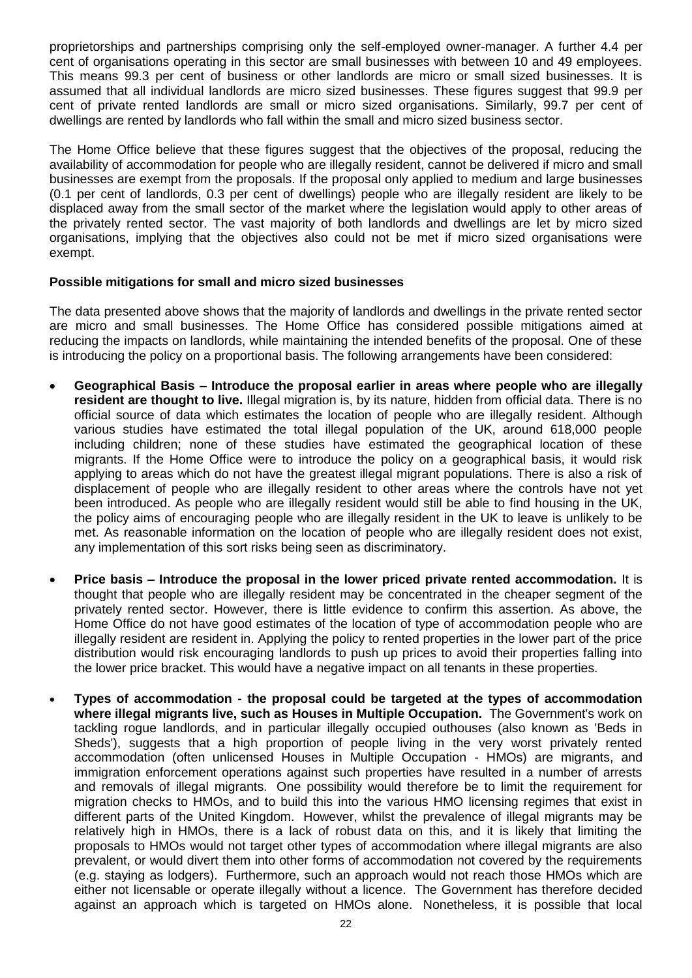proprietorships and partnerships comprising only the self-employed owner-manager. A further 4.4 per cent of organisations operating in this sector are small businesses with between 10 and 49 employees. This means 99.3 per cent of business or other landlords are micro or small sized businesses. It is assumed that all individual landlords are micro sized businesses. These figures suggest that 99.9 per cent of private rented landlords are small or micro sized organisations. Similarly, 99.7 per cent of dwellings are rented by landlords who fall within the small and micro sized business sector.

The Home Office believe that these figures suggest that the objectives of the proposal, reducing the availability of accommodation for people who are illegally resident, cannot be delivered if micro and small businesses are exempt from the proposals. If the proposal only applied to medium and large businesses (0.1 per cent of landlords, 0.3 per cent of dwellings) people who are illegally resident are likely to be displaced away from the small sector of the market where the legislation would apply to other areas of the privately rented sector. The vast majority of both landlords and dwellings are let by micro sized organisations, implying that the objectives also could not be met if micro sized organisations were exempt.

### **Possible mitigations for small and micro sized businesses**

The data presented above shows that the majority of landlords and dwellings in the private rented sector are micro and small businesses. The Home Office has considered possible mitigations aimed at reducing the impacts on landlords, while maintaining the intended benefits of the proposal. One of these is introducing the policy on a proportional basis. The following arrangements have been considered:

- **Geographical Basis – Introduce the proposal earlier in areas where people who are illegally resident are thought to live.** Illegal migration is, by its nature, hidden from official data. There is no official source of data which estimates the location of people who are illegally resident. Although various studies have estimated the total illegal population of the UK, around 618,000 people including children; none of these studies have estimated the geographical location of these migrants. If the Home Office were to introduce the policy on a geographical basis, it would risk applying to areas which do not have the greatest illegal migrant populations. There is also a risk of displacement of people who are illegally resident to other areas where the controls have not yet been introduced. As people who are illegally resident would still be able to find housing in the UK, the policy aims of encouraging people who are illegally resident in the UK to leave is unlikely to be met. As reasonable information on the location of people who are illegally resident does not exist, any implementation of this sort risks being seen as discriminatory.
- **Price basis – Introduce the proposal in the lower priced private rented accommodation.** It is thought that people who are illegally resident may be concentrated in the cheaper segment of the privately rented sector. However, there is little evidence to confirm this assertion. As above, the Home Office do not have good estimates of the location of type of accommodation people who are illegally resident are resident in. Applying the policy to rented properties in the lower part of the price distribution would risk encouraging landlords to push up prices to avoid their properties falling into the lower price bracket. This would have a negative impact on all tenants in these properties.
- **Types of accommodation - the proposal could be targeted at the types of accommodation where illegal migrants live, such as Houses in Multiple Occupation.** The Government's work on tackling rogue landlords, and in particular illegally occupied outhouses (also known as 'Beds in Sheds'). suggests that a high proportion of people living in the very worst privately rented accommodation (often unlicensed Houses in Multiple Occupation - HMOs) are migrants, and immigration enforcement operations against such properties have resulted in a number of arrests and removals of illegal migrants. One possibility would therefore be to limit the requirement for migration checks to HMOs, and to build this into the various HMO licensing regimes that exist in different parts of the United Kingdom. However, whilst the prevalence of illegal migrants may be relatively high in HMOs, there is a lack of robust data on this, and it is likely that limiting the proposals to HMOs would not target other types of accommodation where illegal migrants are also prevalent, or would divert them into other forms of accommodation not covered by the requirements (e.g. staying as lodgers). Furthermore, such an approach would not reach those HMOs which are either not licensable or operate illegally without a licence. The Government has therefore decided against an approach which is targeted on HMOs alone. Nonetheless, it is possible that local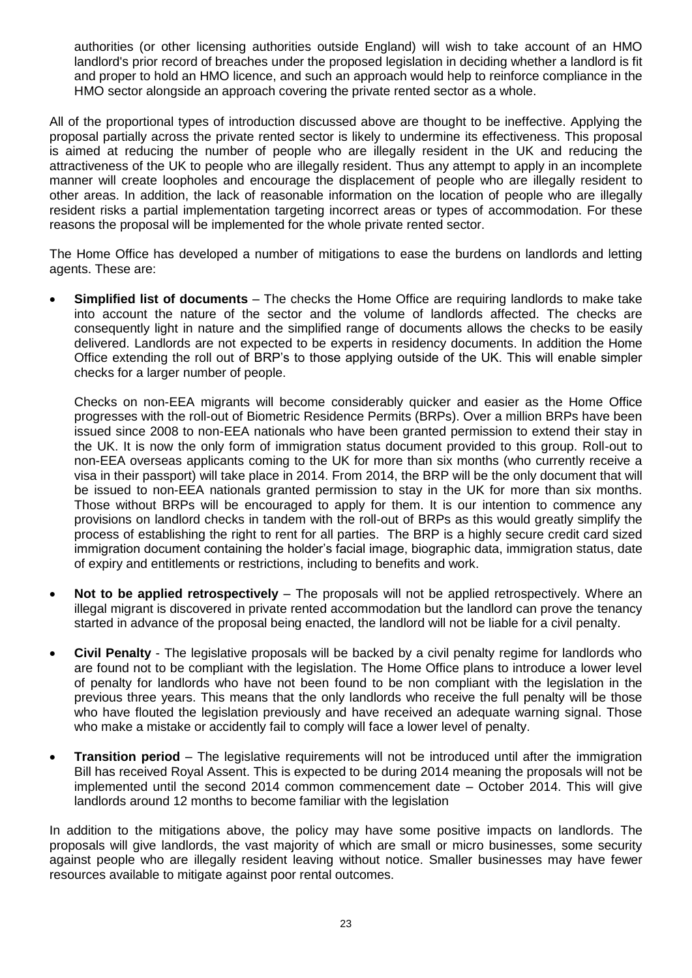authorities (or other licensing authorities outside England) will wish to take account of an HMO landlord's prior record of breaches under the proposed legislation in deciding whether a landlord is fit and proper to hold an HMO licence, and such an approach would help to reinforce compliance in the HMO sector alongside an approach covering the private rented sector as a whole.

All of the proportional types of introduction discussed above are thought to be ineffective. Applying the proposal partially across the private rented sector is likely to undermine its effectiveness. This proposal is aimed at reducing the number of people who are illegally resident in the UK and reducing the attractiveness of the UK to people who are illegally resident. Thus any attempt to apply in an incomplete manner will create loopholes and encourage the displacement of people who are illegally resident to other areas. In addition, the lack of reasonable information on the location of people who are illegally resident risks a partial implementation targeting incorrect areas or types of accommodation. For these reasons the proposal will be implemented for the whole private rented sector.

The Home Office has developed a number of mitigations to ease the burdens on landlords and letting agents. These are:

 **Simplified list of documents** – The checks the Home Office are requiring landlords to make take into account the nature of the sector and the volume of landlords affected. The checks are consequently light in nature and the simplified range of documents allows the checks to be easily delivered. Landlords are not expected to be experts in residency documents. In addition the Home Office extending the roll out of BRP"s to those applying outside of the UK. This will enable simpler checks for a larger number of people.

Checks on non-EEA migrants will become considerably quicker and easier as the Home Office progresses with the roll-out of Biometric Residence Permits (BRPs). Over a million BRPs have been issued since 2008 to non-EEA nationals who have been granted permission to extend their stay in the UK. It is now the only form of immigration status document provided to this group. Roll-out to non-EEA overseas applicants coming to the UK for more than six months (who currently receive a visa in their passport) will take place in 2014. From 2014, the BRP will be the only document that will be issued to non-EEA nationals granted permission to stay in the UK for more than six months. Those without BRPs will be encouraged to apply for them. It is our intention to commence any provisions on landlord checks in tandem with the roll-out of BRPs as this would greatly simplify the process of establishing the right to rent for all parties. The BRP is a highly secure credit card sized immigration document containing the holder's facial image, biographic data, immigration status, date of expiry and entitlements or restrictions, including to benefits and work.

- Not to be applied retrospectively The proposals will not be applied retrospectively. Where an illegal migrant is discovered in private rented accommodation but the landlord can prove the tenancy started in advance of the proposal being enacted, the landlord will not be liable for a civil penalty.
- **Civil Penalty** The legislative proposals will be backed by a civil penalty regime for landlords who are found not to be compliant with the legislation. The Home Office plans to introduce a lower level of penalty for landlords who have not been found to be non compliant with the legislation in the previous three years. This means that the only landlords who receive the full penalty will be those who have flouted the legislation previously and have received an adequate warning signal. Those who make a mistake or accidently fail to comply will face a lower level of penalty.
- **Transition period** The legislative requirements will not be introduced until after the immigration Bill has received Royal Assent. This is expected to be during 2014 meaning the proposals will not be implemented until the second 2014 common commencement date – October 2014. This will give landlords around 12 months to become familiar with the legislation

In addition to the mitigations above, the policy may have some positive impacts on landlords. The proposals will give landlords, the vast majority of which are small or micro businesses, some security against people who are illegally resident leaving without notice. Smaller businesses may have fewer resources available to mitigate against poor rental outcomes.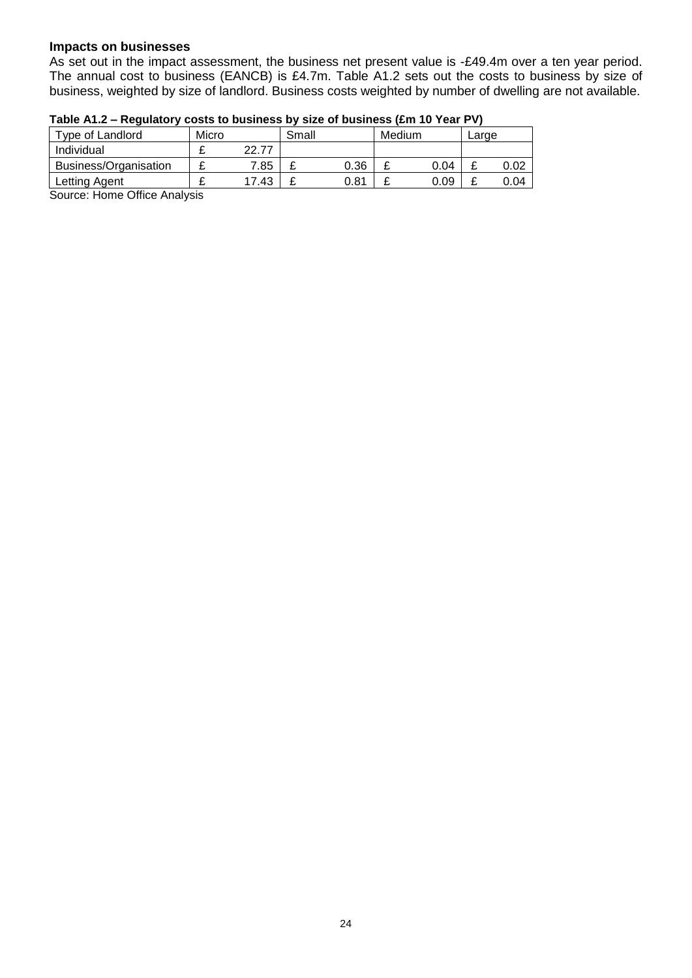### **Impacts on businesses**

As set out in the impact assessment, the business net present value is -£49.4m over a ten year period. The annual cost to business (EANCB) is £4.7m. Table A1.2 sets out the costs to business by size of business, weighted by size of landlord. Business costs weighted by number of dwelling are not available.

| Type of Landlord             | Micro |       | Small |      | Medium |      | Large |      |
|------------------------------|-------|-------|-------|------|--------|------|-------|------|
| Individual                   |       |       |       |      |        |      |       |      |
| Business/Organisation        |       | 7.85  |       | 0.36 |        | 0.04 |       | 0.02 |
| Letting Agent                |       | 17.43 |       | 0.81 |        | 0.09 |       | 0.04 |
| Source: Home Office Analysis |       |       |       |      |        |      |       |      |

### **Table A1.2 – Regulatory costs to business by size of business (£m 10 Year PV)**

Source: Home Office Analysis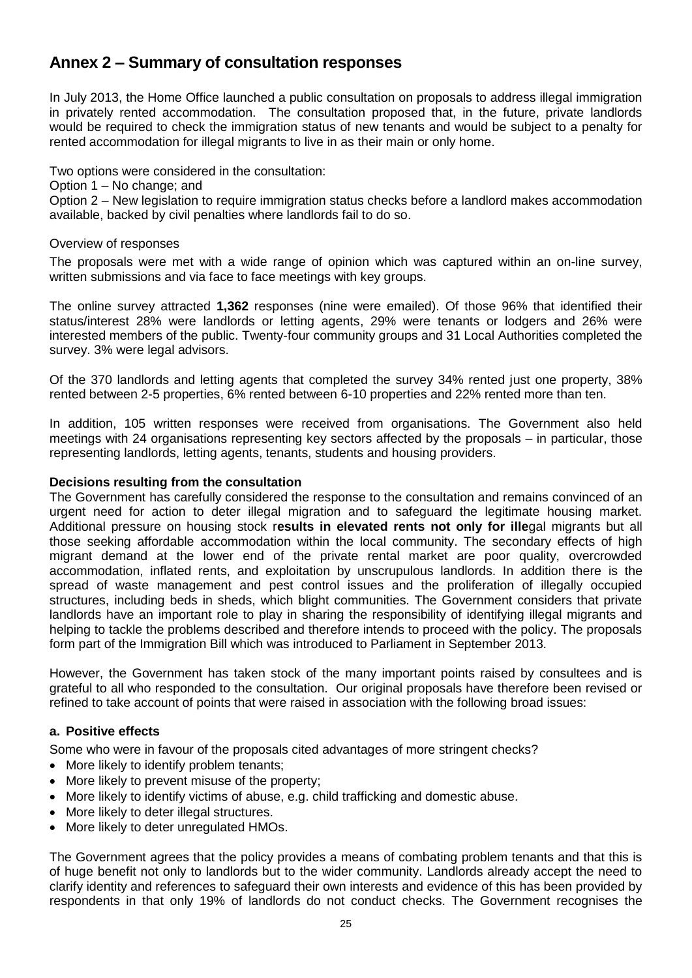### **Annex 2 – Summary of consultation responses**

In July 2013, the Home Office launched a public consultation on proposals to address illegal immigration in privately rented accommodation. The consultation proposed that, in the future, private landlords would be required to check the immigration status of new tenants and would be subject to a penalty for rented accommodation for illegal migrants to live in as their main or only home.

Two options were considered in the consultation:

Option 1 – No change; and

Option 2 – New legislation to require immigration status checks before a landlord makes accommodation available, backed by civil penalties where landlords fail to do so.

### Overview of responses

The proposals were met with a wide range of opinion which was captured within an on-line survey, written submissions and via face to face meetings with key groups.

The online survey attracted **1,362** responses (nine were emailed). Of those 96% that identified their status/interest 28% were landlords or letting agents, 29% were tenants or lodgers and 26% were interested members of the public. Twenty-four community groups and 31 Local Authorities completed the survey. 3% were legal advisors.

Of the 370 landlords and letting agents that completed the survey 34% rented just one property, 38% rented between 2-5 properties, 6% rented between 6-10 properties and 22% rented more than ten.

In addition, 105 written responses were received from organisations. The Government also held meetings with 24 organisations representing key sectors affected by the proposals – in particular, those representing landlords, letting agents, tenants, students and housing providers.

### **Decisions resulting from the consultation**

The Government has carefully considered the response to the consultation and remains convinced of an urgent need for action to deter illegal migration and to safeguard the legitimate housing market. Additional pressure on housing stock r**esults in elevated rents not only for ille**gal migrants but all those seeking affordable accommodation within the local community. The secondary effects of high migrant demand at the lower end of the private rental market are poor quality, overcrowded accommodation, inflated rents, and exploitation by unscrupulous landlords. In addition there is the spread of waste management and pest control issues and the proliferation of illegally occupied structures, including beds in sheds, which blight communities. The Government considers that private landlords have an important role to play in sharing the responsibility of identifying illegal migrants and helping to tackle the problems described and therefore intends to proceed with the policy. The proposals form part of the Immigration Bill which was introduced to Parliament in September 2013.

However, the Government has taken stock of the many important points raised by consultees and is grateful to all who responded to the consultation. Our original proposals have therefore been revised or refined to take account of points that were raised in association with the following broad issues:

### **a. Positive effects**

Some who were in favour of the proposals cited advantages of more stringent checks?

- More likely to identify problem tenants;
- More likely to prevent misuse of the property;
- More likely to identify victims of abuse, e.g. child trafficking and domestic abuse.
- More likely to deter illegal structures.
- More likely to deter unregulated HMOs.

The Government agrees that the policy provides a means of combating problem tenants and that this is of huge benefit not only to landlords but to the wider community. Landlords already accept the need to clarify identity and references to safeguard their own interests and evidence of this has been provided by respondents in that only 19% of landlords do not conduct checks. The Government recognises the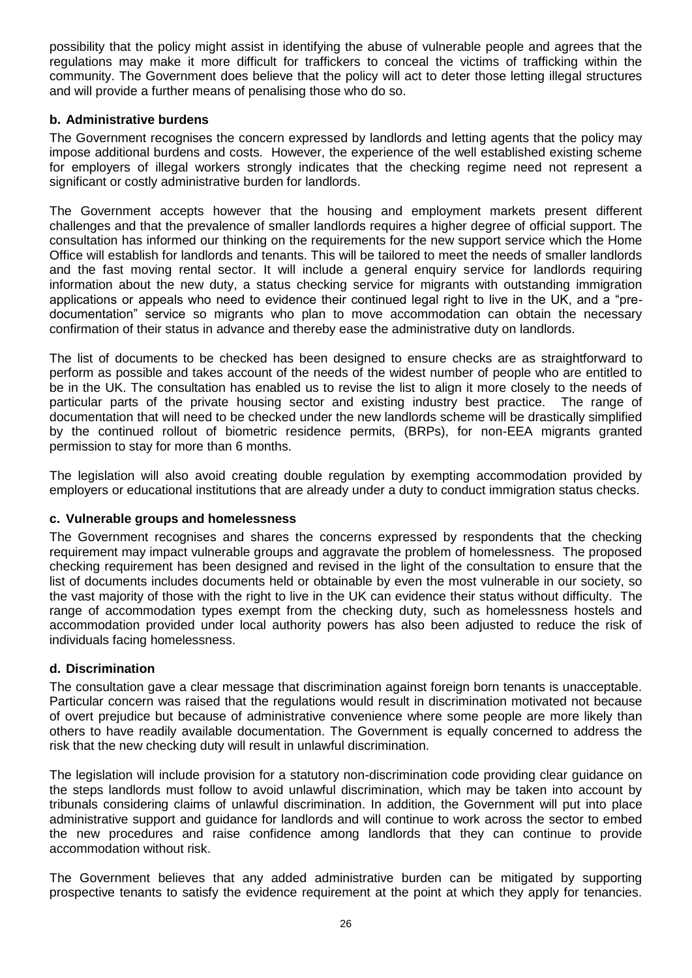possibility that the policy might assist in identifying the abuse of vulnerable people and agrees that the regulations may make it more difficult for traffickers to conceal the victims of trafficking within the community. The Government does believe that the policy will act to deter those letting illegal structures and will provide a further means of penalising those who do so.

### **b. Administrative burdens**

The Government recognises the concern expressed by landlords and letting agents that the policy may impose additional burdens and costs. However, the experience of the well established existing scheme for employers of illegal workers strongly indicates that the checking regime need not represent a significant or costly administrative burden for landlords.

The Government accepts however that the housing and employment markets present different challenges and that the prevalence of smaller landlords requires a higher degree of official support. The consultation has informed our thinking on the requirements for the new support service which the Home Office will establish for landlords and tenants. This will be tailored to meet the needs of smaller landlords and the fast moving rental sector. It will include a general enquiry service for landlords requiring information about the new duty, a status checking service for migrants with outstanding immigration applications or appeals who need to evidence their continued legal right to live in the UK, and a "predocumentation" service so migrants who plan to move accommodation can obtain the necessary confirmation of their status in advance and thereby ease the administrative duty on landlords.

The list of documents to be checked has been designed to ensure checks are as straightforward to perform as possible and takes account of the needs of the widest number of people who are entitled to be in the UK. The consultation has enabled us to revise the list to align it more closely to the needs of particular parts of the private housing sector and existing industry best practice. The range of documentation that will need to be checked under the new landlords scheme will be drastically simplified by the continued rollout of biometric residence permits, (BRPs), for non-EEA migrants granted permission to stay for more than 6 months.

The legislation will also avoid creating double regulation by exempting accommodation provided by employers or educational institutions that are already under a duty to conduct immigration status checks.

### **c. Vulnerable groups and homelessness**

The Government recognises and shares the concerns expressed by respondents that the checking requirement may impact vulnerable groups and aggravate the problem of homelessness. The proposed checking requirement has been designed and revised in the light of the consultation to ensure that the list of documents includes documents held or obtainable by even the most vulnerable in our society, so the vast majority of those with the right to live in the UK can evidence their status without difficulty. The range of accommodation types exempt from the checking duty, such as homelessness hostels and accommodation provided under local authority powers has also been adjusted to reduce the risk of individuals facing homelessness.

### **d. Discrimination**

The consultation gave a clear message that discrimination against foreign born tenants is unacceptable. Particular concern was raised that the regulations would result in discrimination motivated not because of overt prejudice but because of administrative convenience where some people are more likely than others to have readily available documentation. The Government is equally concerned to address the risk that the new checking duty will result in unlawful discrimination.

The legislation will include provision for a statutory non-discrimination code providing clear guidance on the steps landlords must follow to avoid unlawful discrimination, which may be taken into account by tribunals considering claims of unlawful discrimination. In addition, the Government will put into place administrative support and guidance for landlords and will continue to work across the sector to embed the new procedures and raise confidence among landlords that they can continue to provide accommodation without risk.

The Government believes that any added administrative burden can be mitigated by supporting prospective tenants to satisfy the evidence requirement at the point at which they apply for tenancies.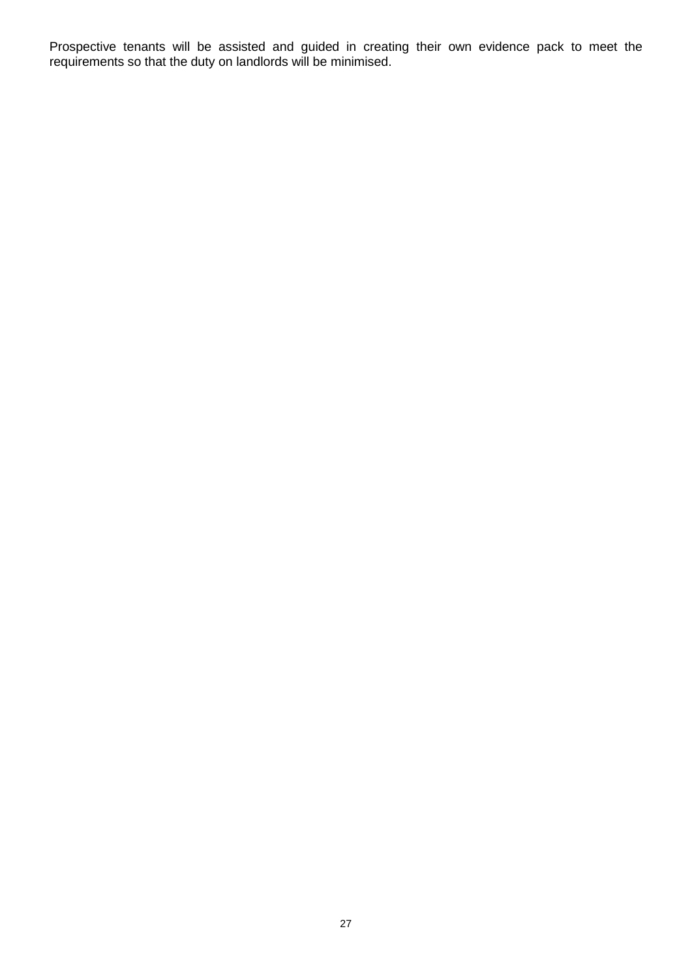Prospective tenants will be assisted and guided in creating their own evidence pack to meet the requirements so that the duty on landlords will be minimised.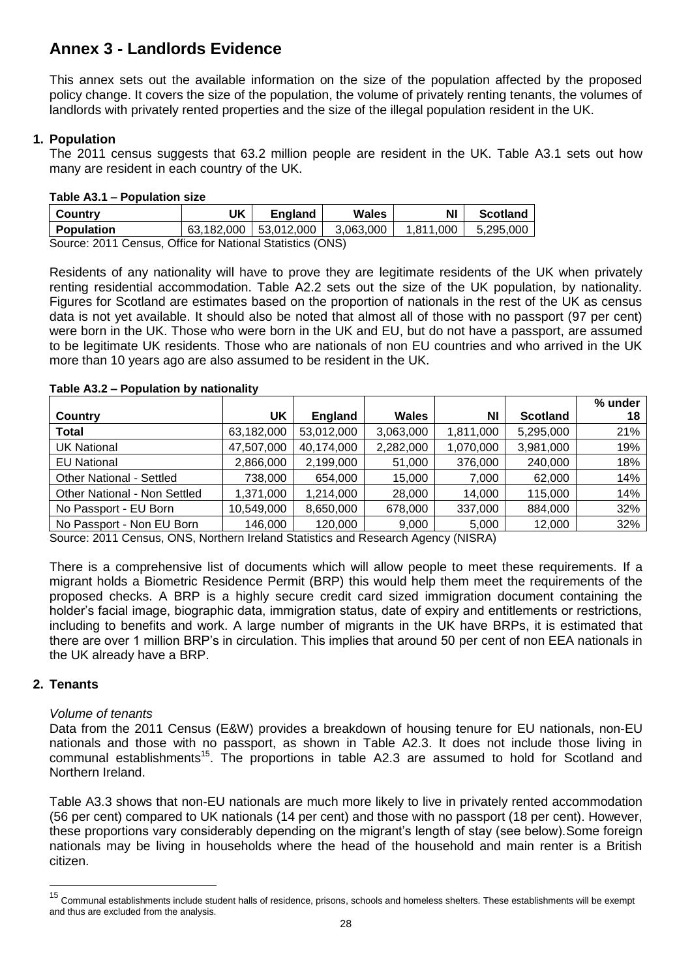### **Annex 3 - Landlords Evidence**

This annex sets out the available information on the size of the population affected by the proposed policy change. It covers the size of the population, the volume of privately renting tenants, the volumes of landlords with privately rented properties and the size of the illegal population resident in the UK.

### **1. Population**

The 2011 census suggests that 63.2 million people are resident in the UK. Table A3.1 sets out how many are resident in each country of the UK.

### **Table A3.1 – Population size**

| Country                                                   | UK | <b>England</b>        | Wales     | NI        | <b>Scotland</b> |  |
|-----------------------------------------------------------|----|-----------------------|-----------|-----------|-----------------|--|
| Population                                                |    | 63.182.000 53.012.000 | 3.063.000 | 1.811.000 | 5.295.000       |  |
| Source: 2011 Cansus, Office for National Statistics (ONS) |    |                       |           |           |                 |  |

ource: 2011 Census, Office for National Statistics (ONS)

Residents of any nationality will have to prove they are legitimate residents of the UK when privately renting residential accommodation. Table A2.2 sets out the size of the UK population, by nationality. Figures for Scotland are estimates based on the proportion of nationals in the rest of the UK as census data is not yet available. It should also be noted that almost all of those with no passport (97 per cent) were born in the UK. Those who were born in the UK and EU, but do not have a passport, are assumed to be legitimate UK residents. Those who are nationals of non EU countries and who arrived in the UK more than 10 years ago are also assumed to be resident in the UK.

### **Table A3.2 – Population by nationality**

|                                 |            |                |              |           |                 | % under |
|---------------------------------|------------|----------------|--------------|-----------|-----------------|---------|
| <b>Country</b>                  | UK         | <b>England</b> | <b>Wales</b> | ΝI        | <b>Scotland</b> | 18      |
| <b>Total</b>                    | 63,182,000 | 53,012,000     | 3,063,000    | 1,811,000 | 5,295,000       | 21%     |
| <b>UK National</b>              | 47,507,000 | 40,174,000     | 2,282,000    | 1,070,000 | 3,981,000       | 19%     |
| <b>EU National</b>              | 2,866,000  | 2,199,000      | 51,000       | 376,000   | 240,000         | 18%     |
| <b>Other National - Settled</b> | 738,000    | 654,000        | 15,000       | 7,000     | 62,000          | 14%     |
| Other National - Non Settled    | 1,371,000  | 1,214,000      | 28,000       | 14,000    | 115,000         | 14%     |
| No Passport - EU Born           | 10,549,000 | 8,650,000      | 678,000      | 337,000   | 884,000         | 32%     |
| No Passport - Non EU Born       | 146,000    | 120,000        | 9,000        | 5,000     | 12,000          | 32%     |

Source: 2011 Census, ONS, Northern Ireland Statistics and Research Agency (NISRA)

There is a comprehensive list of documents which will allow people to meet these requirements. If a migrant holds a Biometric Residence Permit (BRP) this would help them meet the requirements of the proposed checks. A BRP is a highly secure credit card sized immigration document containing the holder"s facial image, biographic data, immigration status, date of expiry and entitlements or restrictions, including to benefits and work. A large number of migrants in the UK have BRPs, it is estimated that there are over 1 million BRP"s in circulation. This implies that around 50 per cent of non EEA nationals in the UK already have a BRP.

### **2. Tenants**

l

### *Volume of tenants*

Data from the 2011 Census (E&W) provides a breakdown of housing tenure for EU nationals, non-EU nationals and those with no passport, as shown in Table A2.3. It does not include those living in communal establishments<sup>15</sup>. The proportions in table A2.3 are assumed to hold for Scotland and Northern Ireland.

Table A3.3 shows that non-EU nationals are much more likely to live in privately rented accommodation (56 per cent) compared to UK nationals (14 per cent) and those with no passport (18 per cent). However, these proportions vary considerably depending on the migrant"s length of stay (see below).Some foreign nationals may be living in households where the head of the household and main renter is a British citizen.

 $15$  Communal establishments include student halls of residence, prisons, schools and homeless shelters. These establishments will be exempt and thus are excluded from the analysis.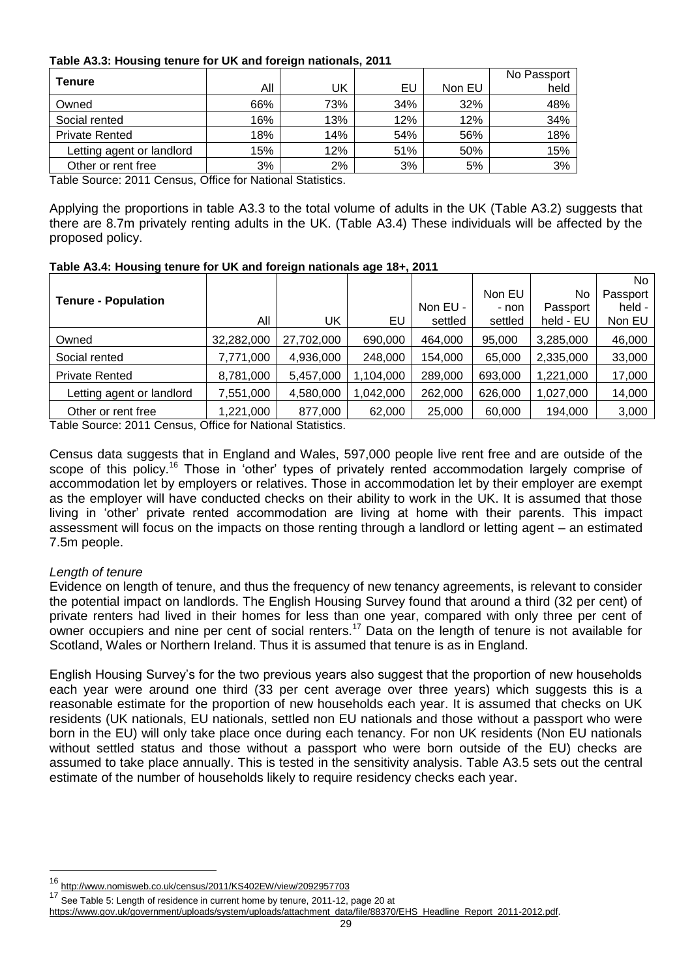### **Table A3.3: Housing tenure for UK and foreign nationals, 2011**

| <b>Tenure</b>             |     |     |     |        | No Passport |
|---------------------------|-----|-----|-----|--------|-------------|
|                           | All | UK  | EU  | Non EU | held        |
| Owned                     | 66% | 73% | 34% | 32%    | 48%         |
| Social rented             | 16% | 13% | 12% | 12%    | 34%         |
| <b>Private Rented</b>     | 18% | 14% | 54% | 56%    | 18%         |
| Letting agent or landlord | 15% | 12% | 51% | 50%    | 15%         |
| Other or rent free        | 3%  | 2%  | 3%  | 5%     | 3%          |

Table Source: 2011 Census, Office for National Statistics.

Applying the proportions in table A3.3 to the total volume of adults in the UK (Table A3.2) suggests that there are 8.7m privately renting adults in the UK. (Table A3.4) These individuals will be affected by the proposed policy.

**Table A3.4: Housing tenure for UK and foreign nationals age 18+, 2011**

|                            |            |            |           |          |         |           | No       |
|----------------------------|------------|------------|-----------|----------|---------|-----------|----------|
| <b>Tenure - Population</b> |            |            |           |          | Non EU  | No.       | Passport |
|                            |            |            |           | Non EU - | - non   | Passport  | held -   |
|                            | All        | UK         | EU        | settled  | settled | held - EU | Non EU   |
| Owned                      | 32,282,000 | 27,702,000 | 690,000   | 464,000  | 95,000  | 3,285,000 | 46,000   |
| Social rented              | 7,771,000  | 4,936,000  | 248,000   | 154,000  | 65,000  | 2,335,000 | 33,000   |
| <b>Private Rented</b>      | 8,781,000  | 5,457,000  | 1,104,000 | 289,000  | 693,000 | 1,221,000 | 17,000   |
| Letting agent or landlord  | 7,551,000  | 4,580,000  | 1,042,000 | 262,000  | 626,000 | 1,027,000 | 14,000   |
| Other or rent free         | 1,221,000  | 877,000    | 62,000    | 25,000   | 60,000  | 194,000   | 3,000    |

Table Source: 2011 Census, Office for National Statistics.

Census data suggests that in England and Wales, 597,000 people live rent free and are outside of the scope of this policy.<sup>16</sup> Those in "other' types of privately rented accommodation largely comprise of accommodation let by employers or relatives. Those in accommodation let by their employer are exempt as the employer will have conducted checks on their ability to work in the UK. It is assumed that those living in "other" private rented accommodation are living at home with their parents. This impact assessment will focus on the impacts on those renting through a landlord or letting agent – an estimated 7.5m people.

### *Length of tenure*

Evidence on length of tenure, and thus the frequency of new tenancy agreements, is relevant to consider the potential impact on landlords. The English Housing Survey found that around a third (32 per cent) of private renters had lived in their homes for less than one year, compared with only three per cent of owner occupiers and nine per cent of social renters.<sup>17</sup> Data on the length of tenure is not available for Scotland, Wales or Northern Ireland. Thus it is assumed that tenure is as in England.

English Housing Survey"s for the two previous years also suggest that the proportion of new households each year were around one third (33 per cent average over three years) which suggests this is a reasonable estimate for the proportion of new households each year. It is assumed that checks on UK residents (UK nationals, EU nationals, settled non EU nationals and those without a passport who were born in the EU) will only take place once during each tenancy. For non UK residents (Non EU nationals without settled status and those without a passport who were born outside of the EU) checks are assumed to take place annually. This is tested in the sensitivity analysis. Table A3.5 sets out the central estimate of the number of households likely to require residency checks each year.

<sup>16</sup> <sup>16</sup> <http://www.nomisweb.co.uk/census/2011/KS402EW/view/2092957703><br>17 See Table 5: Leagth of residence in our rant hame butching 2011 10

See Table 5: Length of residence in current home by tenure, 2011-12, page 20 at

[https://www.gov.uk/government/uploads/system/uploads/attachment\\_data/file/88370/EHS\\_Headline\\_Report\\_2011-2012.pdf.](https://www.gov.uk/government/uploads/system/uploads/attachment_data/file/88370/EHS_Headline_Report_2011-2012.pdf)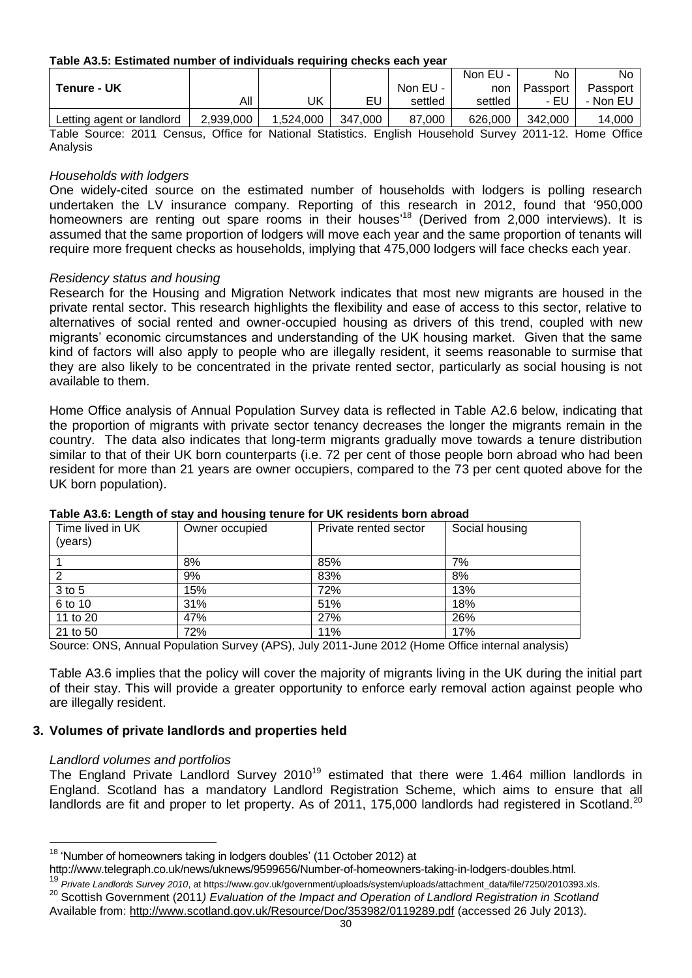### **Table A3.5: Estimated number of individuals requiring checks each year**

|                           |           |          |         |             | Non EU - | No       | No       |
|---------------------------|-----------|----------|---------|-------------|----------|----------|----------|
| Tenure - UK               |           |          |         | Non EU -    | non      | Passport | Passport |
|                           | All       | UK       | EL      | settled     | settled  | - EU     | Non EU   |
| Letting agent or landlord | 2,939,000 | ,524,000 | 347,000 | ,000<br>87. | 626,000  | 342,000  | 14,000   |

Table Source: 2011 Census, Office for National Statistics. English Household Survey 2011-12. Home Office Analysis

### *Households with lodgers*

One widely-cited source on the estimated number of households with lodgers is polling research undertaken the LV insurance company. Reporting of this research in 2012, found that "950,000 homeowners are renting out spare rooms in their houses<sup>18</sup> (Derived from 2,000 interviews). It is assumed that the same proportion of lodgers will move each year and the same proportion of tenants will require more frequent checks as households, implying that 475,000 lodgers will face checks each year.

### *Residency status and housing*

Research for the Housing and Migration Network indicates that most new migrants are housed in the private rental sector. This research highlights the flexibility and ease of access to this sector, relative to alternatives of social rented and owner-occupied housing as drivers of this trend, coupled with new migrants" economic circumstances and understanding of the UK housing market. Given that the same kind of factors will also apply to people who are illegally resident, it seems reasonable to surmise that they are also likely to be concentrated in the private rented sector, particularly as social housing is not available to them.

Home Office analysis of Annual Population Survey data is reflected in Table A2.6 below, indicating that the proportion of migrants with private sector tenancy decreases the longer the migrants remain in the country. The data also indicates that long-term migrants gradually move towards a tenure distribution similar to that of their UK born counterparts (i.e. 72 per cent of those people born abroad who had been resident for more than 21 years are owner occupiers, compared to the 73 per cent quoted above for the UK born population).

| Time lived in UK<br>(years) | Owner occupied | Private rented sector | Social housing |
|-----------------------------|----------------|-----------------------|----------------|
|                             | 8%             | 85%                   | 7%             |
| ົ                           | 9%             | 83%                   | 8%             |
| 3 to 5                      | 15%            | 72%                   | 13%            |
| 6 to 10                     | 31%            | 51%                   | 18%            |
| 11 to 20                    | 47%            | 27%                   | 26%            |
| 21 to 50                    | 72%            | 11%                   | 17%            |

#### **Table A3.6: Length of stay and housing tenure for UK residents born abroad**

Source: ONS, Annual Population Survey (APS), July 2011-June 2012 (Home Office internal analysis)

Table A3.6 implies that the policy will cover the majority of migrants living in the UK during the initial part of their stay. This will provide a greater opportunity to enforce early removal action against people who are illegally resident.

### **3. Volumes of private landlords and properties held**

#### *Landlord volumes and portfolios*

l

The England Private Landlord Survey  $2010^{19}$  estimated that there were 1.464 million landlords in England. Scotland has a mandatory Landlord Registration Scheme, which aims to ensure that all landlords are fit and proper to let property. As of 2011, 175,000 landlords had registered in Scotland.<sup>20</sup>

<sup>&</sup>lt;sup>18</sup> 'Number of homeowners taking in lodgers doubles' (11 October 2012) at

http://www.telegraph.co.uk/news/uknews/9599656/Number-of-homeowners-taking-in-lodgers-doubles.html.

<sup>19</sup> *Private Landlords Survey 2010*, at https://www.gov.uk/government/uploads/system/uploads/attachment\_data/file/7250/2010393.xls. <sup>20</sup> Scottish Government (2011*) Evaluation of the Impact and Operation of Landlord Registration in Scotland* Available from:<http://www.scotland.gov.uk/Resource/Doc/353982/0119289.pdf> (accessed 26 July 2013).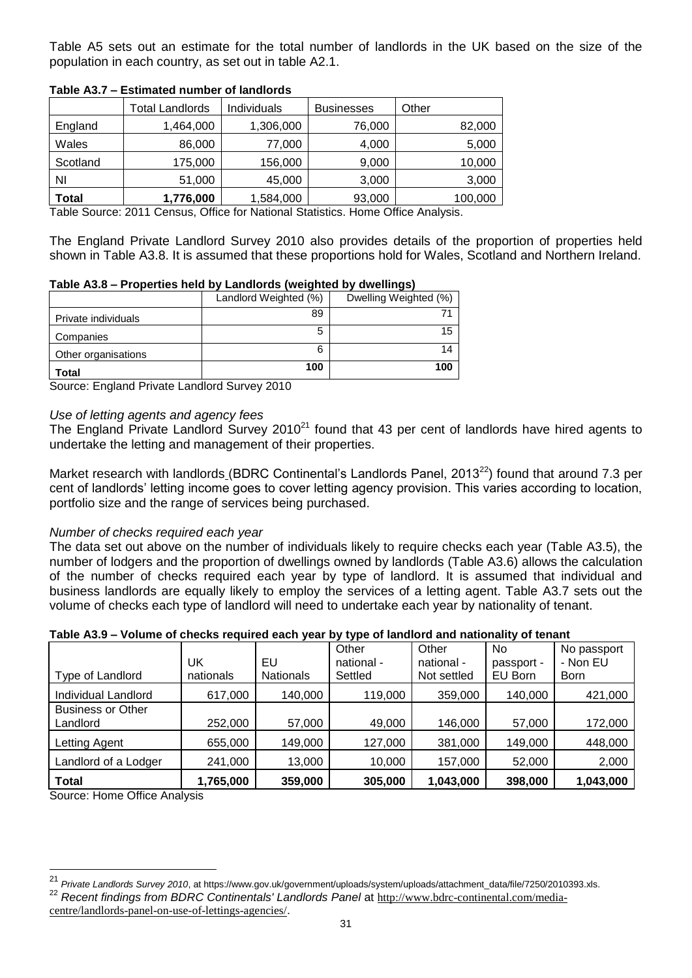Table A5 sets out an estimate for the total number of landlords in the UK based on the size of the population in each country, as set out in table A2.1.

|          | <b>Total Landlords</b> | Individuals | <b>Businesses</b> | Other   |  |  |  |  |
|----------|------------------------|-------------|-------------------|---------|--|--|--|--|
| England  | 1,464,000              | 1,306,000   | 76,000            | 82,000  |  |  |  |  |
| Wales    | 86,000                 | 77,000      | 4,000             | 5,000   |  |  |  |  |
| Scotland | 175,000                | 156,000     | 9,000             | 10,000  |  |  |  |  |
| NI       | 51,000                 | 45,000      | 3,000             | 3,000   |  |  |  |  |
| Total    | 1,776,000              | 1,584,000   | 93,000            | 100,000 |  |  |  |  |

#### **Table A3.7 – Estimated number of landlords**

Table Source: 2011 Census, Office for National Statistics. Home Office Analysis.

The England Private Landlord Survey 2010 also provides details of the proportion of properties held shown in Table A3.8. It is assumed that these proportions hold for Wales, Scotland and Northern Ireland.

#### **Table A3.8 – Properties held by Landlords (weighted by dwellings)**

| ---                 |                       |                       |  |  |
|---------------------|-----------------------|-----------------------|--|--|
|                     | Landlord Weighted (%) | Dwelling Weighted (%) |  |  |
| Private individuals | 89                    |                       |  |  |
| Companies           |                       | 15                    |  |  |
| Other organisations |                       |                       |  |  |
| Total               | 100                   | 100                   |  |  |

Source: England Private Landlord Survey 2010

### *Use of letting agents and agency fees*

The England Private Landlord Survey 2010<sup>21</sup> found that 43 per cent of landlords have hired agents to undertake the letting and management of their properties.

Market research with landlords (BDRC Continental's Landlords Panel, 2013<sup>22</sup>) found that around 7.3 per cent of landlords" letting income goes to cover letting agency provision. This varies according to location, portfolio size and the range of services being purchased.

#### *Number of checks required each year*

The data set out above on the number of individuals likely to require checks each year (Table A3.5), the number of lodgers and the proportion of dwellings owned by landlords (Table A3.6) allows the calculation of the number of checks required each year by type of landlord. It is assumed that individual and business landlords are equally likely to employ the services of a letting agent. Table A3.7 sets out the volume of checks each type of landlord will need to undertake each year by nationality of tenant.

| Table A3.9 - Volume of checks required each year by type of landlord and nationality of tenant |  |  |  |
|------------------------------------------------------------------------------------------------|--|--|--|
|------------------------------------------------------------------------------------------------|--|--|--|

| Type of Landlord                     | UK<br>nationals | EU<br>Nationals | Other<br>national -<br>Settled | Other<br>national -<br>Not settled | No.<br>passport -<br>EU Born | No passport<br>- Non EU<br><b>Born</b> |
|--------------------------------------|-----------------|-----------------|--------------------------------|------------------------------------|------------------------------|----------------------------------------|
| Individual Landlord                  | 617,000         | 140,000         | 119,000                        | 359,000                            | 140,000                      | 421,000                                |
| <b>Business or Other</b><br>Landlord | 252,000         | 57,000          | 49,000                         | 146.000                            | 57,000                       | 172,000                                |
| Letting Agent                        | 655,000         | 149,000         | 127,000                        | 381,000                            | 149,000                      | 448,000                                |
| Landlord of a Lodger                 | 241,000         | 13,000          | 10,000                         | 157,000                            | 52,000                       | 2,000                                  |
| <b>Total</b>                         | 1,765,000       | 359,000         | 305,000                        | 1,043,000                          | 398,000                      | 1,043,000                              |

Source: Home Office Analysis

l

<sup>21</sup> *Private Landlords Survey 2010*, at https://www.gov.uk/government/uploads/system/uploads/attachment\_data/file/7250/2010393.xls. <sup>22</sup> Recent findings from BDRC Continentals' Landlords Panel at [http://www.bdrc-continental.com/media](http://www.bdrc-continental.com/media-centre/landlords-panel-on-use-of-lettings-agencies/)[centre/landlords-panel-on-use-of-lettings-agencies/](http://www.bdrc-continental.com/media-centre/landlords-panel-on-use-of-lettings-agencies/).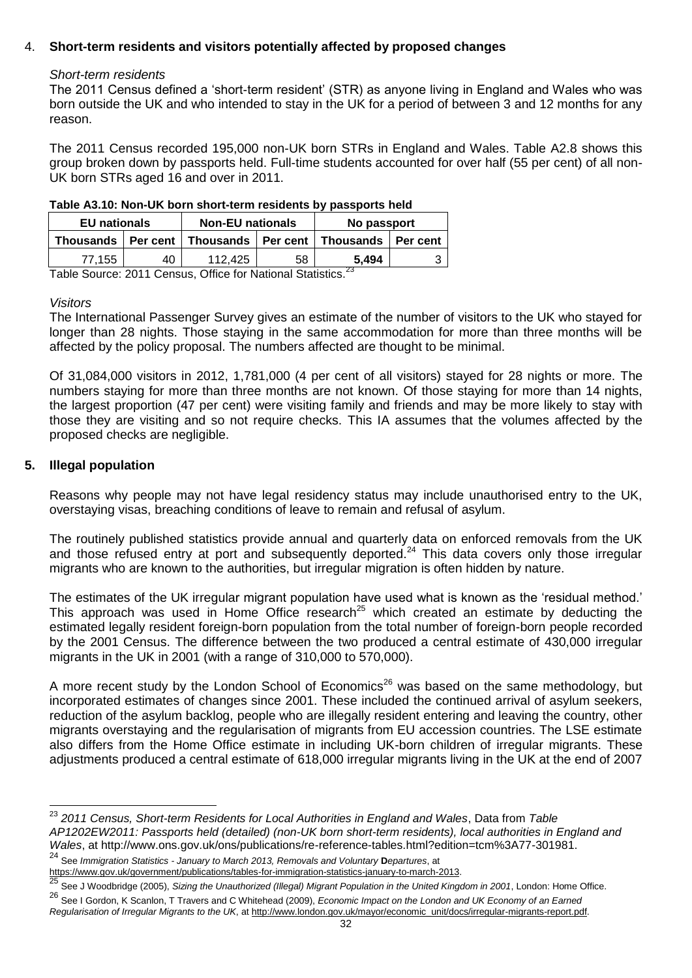### 4. **Short-term residents and visitors potentially affected by proposed changes**

### *Short-term residents*

The 2011 Census defined a "short-term resident" (STR) as anyone living in England and Wales who was born outside the UK and who intended to stay in the UK for a period of between 3 and 12 months for any reason.

The 2011 Census recorded 195,000 non-UK born STRs in England and Wales. Table A2.8 shows this group broken down by passports held. Full-time students accounted for over half (55 per cent) of all non-UK born STRs aged 16 and over in 2011.

| Table AJ.TV. NUITUR DUIT SHUITEHII I CSIUCHIS DY DASSDUITS HEIU |    |                                                                    |    |             |  |  |
|-----------------------------------------------------------------|----|--------------------------------------------------------------------|----|-------------|--|--|
| <b>EU</b> nationals                                             |    | <b>Non-EU nationals</b>                                            |    | No passport |  |  |
|                                                                 |    | Thousands   Per cent   Thousands   Per cent   Thousands   Per cent |    |             |  |  |
| 77.155                                                          | 40 | 112.425                                                            | 58 | 5.494       |  |  |

**Table A3.10: Non-UK born short-term residents by passports held**

Table Source: 2011 Census, Office for National Statistics.<sup>23</sup>

#### *Visitors*

The International Passenger Survey gives an estimate of the number of visitors to the UK who stayed for longer than 28 nights. Those staying in the same accommodation for more than three months will be affected by the policy proposal. The numbers affected are thought to be minimal.

Of 31,084,000 visitors in 2012, 1,781,000 (4 per cent of all visitors) stayed for 28 nights or more. The numbers staying for more than three months are not known. Of those staying for more than 14 nights, the largest proportion (47 per cent) were visiting family and friends and may be more likely to stay with those they are visiting and so not require checks. This IA assumes that the volumes affected by the proposed checks are negligible.

### **5. Illegal population**

l

Reasons why people may not have legal residency status may include unauthorised entry to the UK, overstaying visas, breaching conditions of leave to remain and refusal of asylum.

The routinely published statistics provide annual and quarterly data on enforced removals from the UK and those refused entry at port and subsequently deported.<sup>24</sup> This data covers only those irregular migrants who are known to the authorities, but irregular migration is often hidden by nature.

The estimates of the UK irregular migrant population have used what is known as the 'residual method.' This approach was used in Home Office research<sup>25</sup> which created an estimate by deducting the estimated legally resident foreign-born population from the total number of foreign-born people recorded by the 2001 Census. The difference between the two produced a central estimate of 430,000 irregular migrants in the UK in 2001 (with a range of 310,000 to 570,000).

A more recent study by the London School of Economics<sup>26</sup> was based on the same methodology, but incorporated estimates of changes since 2001. These included the continued arrival of asylum seekers, reduction of the asylum backlog, people who are illegally resident entering and leaving the country, other migrants overstaying and the regularisation of migrants from EU accession countries. The LSE estimate also differs from the Home Office estimate in including UK-born children of irregular migrants. These adjustments produced a central estimate of 618,000 irregular migrants living in the UK at the end of 2007

<sup>23</sup> *2011 Census, Short-term Residents for Local Authorities in England and Wales*, Data from *Table AP1202EW2011: Passports held (detailed) (non-UK born short-term residents), local authorities in England and Wales*, at http://www.ons.gov.uk/ons/publications/re-reference-tables.html?edition=tcm%3A77-301981.

<sup>24</sup> See *Immigration Statistics - January to March 2013, Removals and Voluntary* **<sup>D</sup>***epartures*, at

[https://www.gov.uk/government/publications/tables-for-immigration-statistics-january-to-march-2013.](https://www.gov.uk/government/publications/tables-for-immigration-statistics-january-to-march-2013)<br>25 e un union de diameter de la proporcionale de la provincia de la provincia de la provincia de la provincia<br>25 e un unio

<sup>25</sup> See J Woodbridge (2005), *Sizing the Unauthorized (Illegal) Migrant Population in the United Kingdom in 2001*, London: Home Office.

<sup>26</sup> See I Gordon, K Scanlon, T Travers and C Whitehead (2009), *Economic Impact on the London and UK Economy of an Earned Regularisation of Irregular Migrants to the UK*, a[t http://www.london.gov.uk/mayor/economic\\_unit/docs/irregular-migrants-report.pdf.](http://www.london.gov.uk/mayor/economic_unit/docs/irregular-migrants-report.pdf)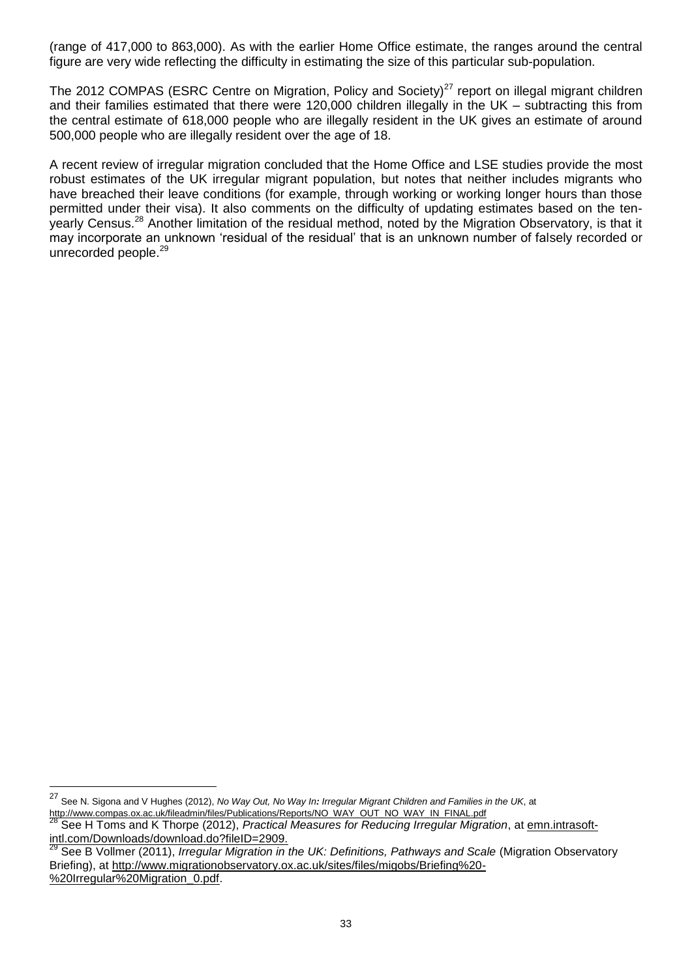(range of 417,000 to 863,000). As with the earlier Home Office estimate, the ranges around the central figure are very wide reflecting the difficulty in estimating the size of this particular sub-population.

The 2012 COMPAS (ESRC Centre on Migration, Policy and Society)<sup>27</sup> report on illegal migrant children and their families estimated that there were 120,000 children illegally in the UK – subtracting this from the central estimate of 618,000 people who are illegally resident in the UK gives an estimate of around 500,000 people who are illegally resident over the age of 18.

A recent review of irregular migration concluded that the Home Office and LSE studies provide the most robust estimates of the UK irregular migrant population, but notes that neither includes migrants who have breached their leave conditions (for example, through working or working longer hours than those permitted under their visa). It also comments on the difficulty of updating estimates based on the tenyearly Census.<sup>28</sup> Another limitation of the residual method, noted by the Migration Observatory, is that it may incorporate an unknown "residual of the residual" that is an unknown number of falsely recorded or unrecorded people.<sup>29</sup>

<sup>27</sup> See N. Sigona and V Hughes (2012), *No Way Out, No Way In: Irregular Migrant Children and Families in the UK*, at [http://www.compas.ox.ac.uk/fileadmin/files/Publications/Reports/NO\\_WAY\\_OUT\\_NO\\_WAY\\_IN\\_FINAL.pdf](http://www.compas.ox.ac.uk/fileadmin/files/Publications/Reports/NO_WAY_OUT_NO_WAY_IN_FINAL.pdf) 

<sup>28</sup> See H Toms and K Thorpe (2012), *Practical Measures for Reducing Irregular Migration*, at [emn.intrasoft](file://poise.homeoffice.local/../../../../../../../../../../../../GPHE/Users/LinleyR/My%20Documents/emn.intrasoft-intl.com/Downloads/download.do%3ffileID=2909)[intl.com/Downloads/download.do?fileID=2909.](file://poise.homeoffice.local/../../../../../../../../../../../../GPHE/Users/LinleyR/My%20Documents/emn.intrasoft-intl.com/Downloads/download.do%3ffileID=2909) 

See B Vollmer (2011), *Irregular Migration in the UK: Definitions, Pathways and Scale* (Migration Observatory Briefing), at [http://www.migrationobservatory.ox.ac.uk/sites/files/migobs/Briefing%20-](http://www.migrationobservatory.ox.ac.uk/sites/files/migobs/Briefing%20-%20Irregular%20Migration_0.pdf) [%20Irregular%20Migration\\_0.pdf.](http://www.migrationobservatory.ox.ac.uk/sites/files/migobs/Briefing%20-%20Irregular%20Migration_0.pdf)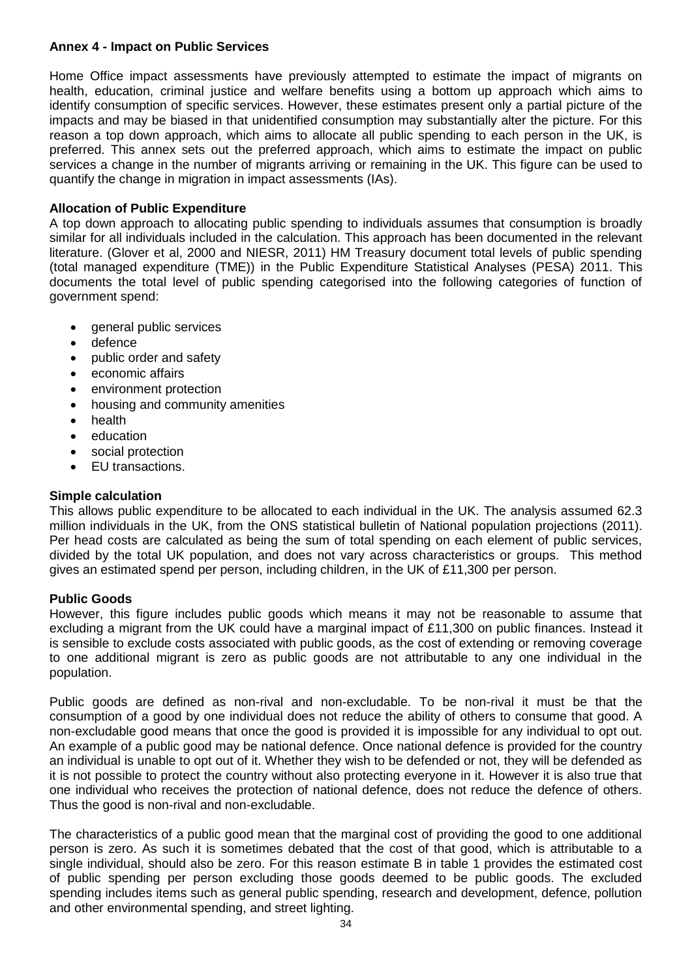### **Annex 4 - Impact on Public Services**

Home Office impact assessments have previously attempted to estimate the impact of migrants on health, education, criminal justice and welfare benefits using a bottom up approach which aims to identify consumption of specific services. However, these estimates present only a partial picture of the impacts and may be biased in that unidentified consumption may substantially alter the picture. For this reason a top down approach, which aims to allocate all public spending to each person in the UK, is preferred. This annex sets out the preferred approach, which aims to estimate the impact on public services a change in the number of migrants arriving or remaining in the UK. This figure can be used to quantify the change in migration in impact assessments (IAs).

### **Allocation of Public Expenditure**

A top down approach to allocating public spending to individuals assumes that consumption is broadly similar for all individuals included in the calculation. This approach has been documented in the relevant literature. (Glover et al, 2000 and NIESR, 2011) HM Treasury document total levels of public spending (total managed expenditure (TME)) in the Public Expenditure Statistical Analyses (PESA) 2011. This documents the total level of public spending categorised into the following categories of function of government spend:

- general public services
- defence
- public order and safety
- economic affairs
- environment protection
- housing and community amenities
- health
- education
- social protection
- EU transactions.

### **Simple calculation**

This allows public expenditure to be allocated to each individual in the UK. The analysis assumed 62.3 million individuals in the UK, from the ONS statistical bulletin of National population projections (2011). Per head costs are calculated as being the sum of total spending on each element of public services, divided by the total UK population, and does not vary across characteristics or groups. This method gives an estimated spend per person, including children, in the UK of £11,300 per person.

### **Public Goods**

However, this figure includes public goods which means it may not be reasonable to assume that excluding a migrant from the UK could have a marginal impact of £11,300 on public finances. Instead it is sensible to exclude costs associated with public goods, as the cost of extending or removing coverage to one additional migrant is zero as public goods are not attributable to any one individual in the population.

Public goods are defined as non-rival and non-excludable. To be non-rival it must be that the consumption of a good by one individual does not reduce the ability of others to consume that good. A non-excludable good means that once the good is provided it is impossible for any individual to opt out. An example of a public good may be national defence. Once national defence is provided for the country an individual is unable to opt out of it. Whether they wish to be defended or not, they will be defended as it is not possible to protect the country without also protecting everyone in it. However it is also true that one individual who receives the protection of national defence, does not reduce the defence of others. Thus the good is non-rival and non-excludable.

The characteristics of a public good mean that the marginal cost of providing the good to one additional person is zero. As such it is sometimes debated that the cost of that good, which is attributable to a single individual, should also be zero. For this reason estimate B in table 1 provides the estimated cost of public spending per person excluding those goods deemed to be public goods. The excluded spending includes items such as general public spending, research and development, defence, pollution and other environmental spending, and street lighting.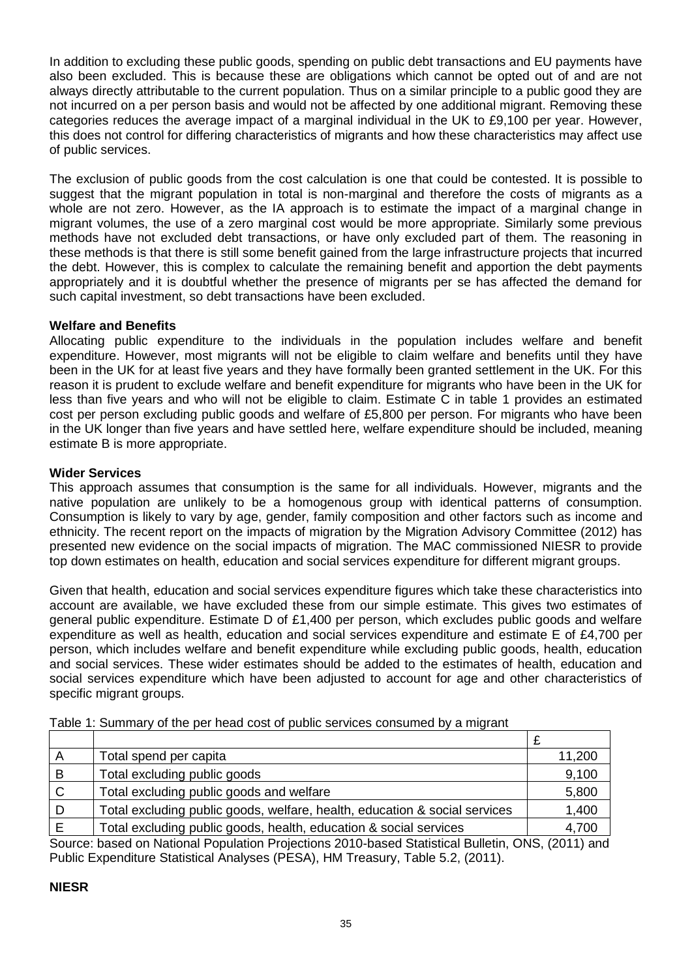In addition to excluding these public goods, spending on public debt transactions and EU payments have also been excluded. This is because these are obligations which cannot be opted out of and are not always directly attributable to the current population. Thus on a similar principle to a public good they are not incurred on a per person basis and would not be affected by one additional migrant. Removing these categories reduces the average impact of a marginal individual in the UK to £9,100 per year. However, this does not control for differing characteristics of migrants and how these characteristics may affect use of public services.

The exclusion of public goods from the cost calculation is one that could be contested. It is possible to suggest that the migrant population in total is non-marginal and therefore the costs of migrants as a whole are not zero. However, as the IA approach is to estimate the impact of a marginal change in migrant volumes, the use of a zero marginal cost would be more appropriate. Similarly some previous methods have not excluded debt transactions, or have only excluded part of them. The reasoning in these methods is that there is still some benefit gained from the large infrastructure projects that incurred the debt. However, this is complex to calculate the remaining benefit and apportion the debt payments appropriately and it is doubtful whether the presence of migrants per se has affected the demand for such capital investment, so debt transactions have been excluded.

### **Welfare and Benefits**

Allocating public expenditure to the individuals in the population includes welfare and benefit expenditure. However, most migrants will not be eligible to claim welfare and benefits until they have been in the UK for at least five years and they have formally been granted settlement in the UK. For this reason it is prudent to exclude welfare and benefit expenditure for migrants who have been in the UK for less than five years and who will not be eligible to claim. Estimate C in table 1 provides an estimated cost per person excluding public goods and welfare of £5,800 per person. For migrants who have been in the UK longer than five years and have settled here, welfare expenditure should be included, meaning estimate B is more appropriate.

### **Wider Services**

This approach assumes that consumption is the same for all individuals. However, migrants and the native population are unlikely to be a homogenous group with identical patterns of consumption. Consumption is likely to vary by age, gender, family composition and other factors such as income and ethnicity. The recent report on the impacts of migration by the Migration Advisory Committee (2012) has presented new evidence on the social impacts of migration. The MAC commissioned NIESR to provide top down estimates on health, education and social services expenditure for different migrant groups.

Given that health, education and social services expenditure figures which take these characteristics into account are available, we have excluded these from our simple estimate. This gives two estimates of general public expenditure. Estimate D of £1,400 per person, which excludes public goods and welfare expenditure as well as health, education and social services expenditure and estimate E of £4,700 per person, which includes welfare and benefit expenditure while excluding public goods, health, education and social services. These wider estimates should be added to the estimates of health, education and social services expenditure which have been adjusted to account for age and other characteristics of specific migrant groups.

| A            | Total spend per capita                                                     | 11,200   |
|--------------|----------------------------------------------------------------------------|----------|
| B            | Total excluding public goods                                               | 9,100    |
| $\mathsf{C}$ | Total excluding public goods and welfare                                   | 5,800    |
| . D          | Total excluding public goods, welfare, health, education & social services | 1,400    |
| E            | Total excluding public goods, health, education & social services          | 4,700    |
| <b>-</b>     | المستحققات والمتمام المناقصة المستحدث المتحدث والمستحدث والمستحدث          | $1 - 11$ |

Table 1: Summary of the per head cost of public services consumed by a migrant

Source: based on National Population Projections 2010-based Statistical Bulletin, ONS, (2011) and Public Expenditure Statistical Analyses (PESA), HM Treasury, Table 5.2, (2011).

### **NIESR**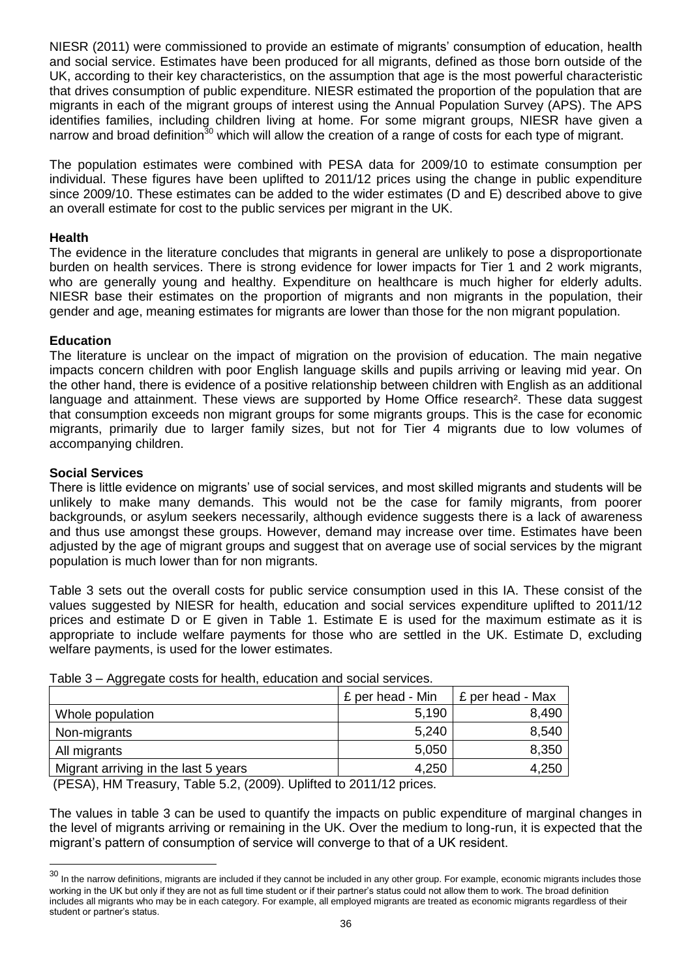NIESR (2011) were commissioned to provide an estimate of migrants" consumption of education, health and social service. Estimates have been produced for all migrants, defined as those born outside of the UK, according to their key characteristics, on the assumption that age is the most powerful characteristic that drives consumption of public expenditure. NIESR estimated the proportion of the population that are migrants in each of the migrant groups of interest using the Annual Population Survey (APS). The APS identifies families, including children living at home. For some migrant groups, NIESR have given a narrow and broad definition<sup>30</sup> which will allow the creation of a range of costs for each type of migrant.

The population estimates were combined with PESA data for 2009/10 to estimate consumption per individual. These figures have been uplifted to 2011/12 prices using the change in public expenditure since 2009/10. These estimates can be added to the wider estimates (D and E) described above to give an overall estimate for cost to the public services per migrant in the UK.

### **Health**

The evidence in the literature concludes that migrants in general are unlikely to pose a disproportionate burden on health services. There is strong evidence for lower impacts for Tier 1 and 2 work migrants, who are generally young and healthy. Expenditure on healthcare is much higher for elderly adults. NIESR base their estimates on the proportion of migrants and non migrants in the population, their gender and age, meaning estimates for migrants are lower than those for the non migrant population.

### **Education**

The literature is unclear on the impact of migration on the provision of education. The main negative impacts concern children with poor English language skills and pupils arriving or leaving mid year. On the other hand, there is evidence of a positive relationship between children with English as an additional language and attainment. These views are supported by Home Office research<sup>2</sup>. These data suggest that consumption exceeds non migrant groups for some migrants groups. This is the case for economic migrants, primarily due to larger family sizes, but not for Tier 4 migrants due to low volumes of accompanying children.

### **Social Services**

l

There is little evidence on migrants" use of social services, and most skilled migrants and students will be unlikely to make many demands. This would not be the case for family migrants, from poorer backgrounds, or asylum seekers necessarily, although evidence suggests there is a lack of awareness and thus use amongst these groups. However, demand may increase over time. Estimates have been adjusted by the age of migrant groups and suggest that on average use of social services by the migrant population is much lower than for non migrants.

Table 3 sets out the overall costs for public service consumption used in this IA. These consist of the values suggested by NIESR for health, education and social services expenditure uplifted to 2011/12 prices and estimate D or E given in Table 1. Estimate E is used for the maximum estimate as it is appropriate to include welfare payments for those who are settled in the UK. Estimate D, excluding welfare payments, is used for the lower estimates.

|                                      | £ per head - Min | £ per head - Max |  |  |  |
|--------------------------------------|------------------|------------------|--|--|--|
| Whole population                     | 5,190            | 8,490            |  |  |  |
| Non-migrants                         | 5,240            | 8,540            |  |  |  |
| All migrants                         | 5,050            | 8,350            |  |  |  |
| Migrant arriving in the last 5 years | 4,250            | 4,250            |  |  |  |
|                                      |                  |                  |  |  |  |

Table 3 – Aggregate costs for health, education and social services.

(PESA), HM Treasury, Table 5.2, (2009). Uplifted to 2011/12 prices.

The values in table 3 can be used to quantify the impacts on public expenditure of marginal changes in the level of migrants arriving or remaining in the UK. Over the medium to long-run, it is expected that the migrant"s pattern of consumption of service will converge to that of a UK resident.

<sup>&</sup>lt;sup>30</sup> In the narrow definitions, migrants are included if they cannot be included in any other group. For example, economic migrants includes those working in the UK but only if they are not as full time student or if their partner"s status could not allow them to work. The broad definition includes all migrants who may be in each category. For example, all employed migrants are treated as economic migrants regardless of their student or partner's status.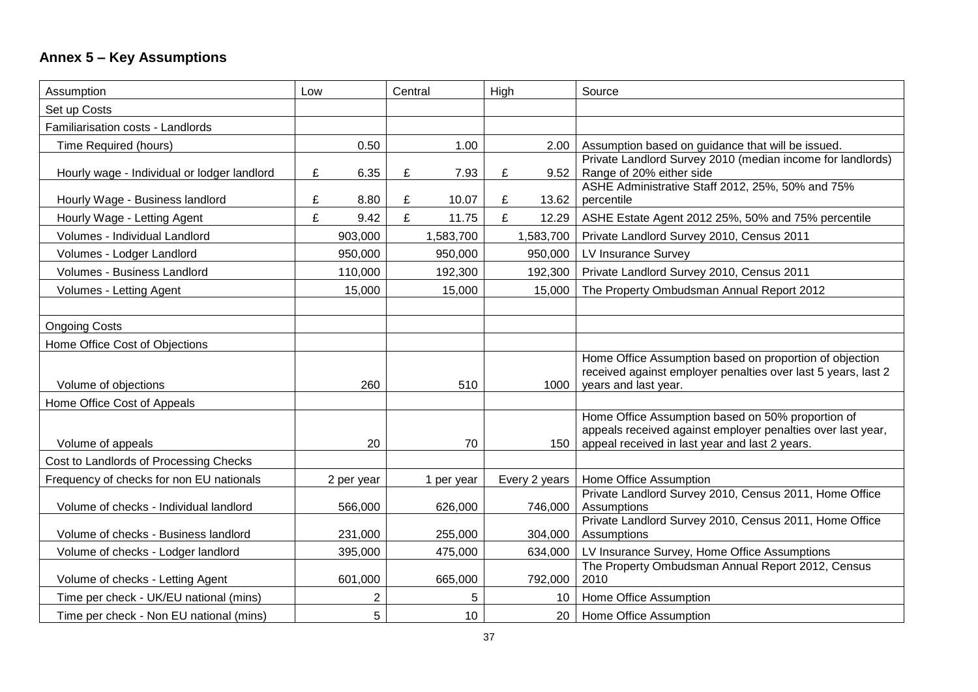### **Annex 5 – Key Assumptions**

| Assumption                                  | Low            | Central    | High          | Source                                                                                |
|---------------------------------------------|----------------|------------|---------------|---------------------------------------------------------------------------------------|
| Set up Costs                                |                |            |               |                                                                                       |
| Familiarisation costs - Landlords           |                |            |               |                                                                                       |
| Time Required (hours)                       | 0.50           | 1.00       | 2.00          | Assumption based on guidance that will be issued.                                     |
|                                             |                |            |               | Private Landlord Survey 2010 (median income for landlords)                            |
| Hourly wage - Individual or lodger landlord | £<br>6.35      | £<br>7.93  | £<br>9.52     | Range of 20% either side<br>ASHE Administrative Staff 2012, 25%, 50% and 75%          |
| Hourly Wage - Business landlord             | £<br>8.80      | £<br>10.07 | £<br>13.62    | percentile                                                                            |
| Hourly Wage - Letting Agent                 | £<br>9.42      | £<br>11.75 | £<br>12.29    | ASHE Estate Agent 2012 25%, 50% and 75% percentile                                    |
| Volumes - Individual Landlord               | 903,000        | 1,583,700  | 1,583,700     | Private Landlord Survey 2010, Census 2011                                             |
| Volumes - Lodger Landlord                   | 950,000        | 950,000    | 950,000       | LV Insurance Survey                                                                   |
| Volumes - Business Landlord                 | 110,000        | 192,300    | 192,300       | Private Landlord Survey 2010, Census 2011                                             |
| Volumes - Letting Agent                     | 15,000         | 15,000     | 15,000        | The Property Ombudsman Annual Report 2012                                             |
|                                             |                |            |               |                                                                                       |
| <b>Ongoing Costs</b>                        |                |            |               |                                                                                       |
| Home Office Cost of Objections              |                |            |               |                                                                                       |
|                                             |                |            |               | Home Office Assumption based on proportion of objection                               |
| Volume of objections                        | 260            | 510        | 1000          | received against employer penalties over last 5 years, last 2<br>years and last year. |
| Home Office Cost of Appeals                 |                |            |               |                                                                                       |
|                                             |                |            |               | Home Office Assumption based on 50% proportion of                                     |
|                                             |                |            |               | appeals received against employer penalties over last year,                           |
| Volume of appeals                           | 20             | 70         | 150           | appeal received in last year and last 2 years.                                        |
| Cost to Landlords of Processing Checks      |                |            |               |                                                                                       |
| Frequency of checks for non EU nationals    | 2 per year     | 1 per year | Every 2 years | Home Office Assumption                                                                |
|                                             |                |            |               | Private Landlord Survey 2010, Census 2011, Home Office                                |
| Volume of checks - Individual landlord      | 566,000        | 626,000    | 746,000       | Assumptions                                                                           |
| Volume of checks - Business landlord        | 231,000        | 255,000    |               | Private Landlord Survey 2010, Census 2011, Home Office<br>Assumptions                 |
|                                             |                |            | 304,000       |                                                                                       |
| Volume of checks - Lodger landlord          | 395,000        | 475,000    | 634,000       | LV Insurance Survey, Home Office Assumptions                                          |
| Volume of checks - Letting Agent            | 601,000        | 665,000    | 792,000       | The Property Ombudsman Annual Report 2012, Census<br>2010                             |
| Time per check - UK/EU national (mins)      | $\overline{c}$ | 5          | 10            | Home Office Assumption                                                                |
| Time per check - Non EU national (mins)     | 5              | 10         | $20-1$        | Home Office Assumption                                                                |